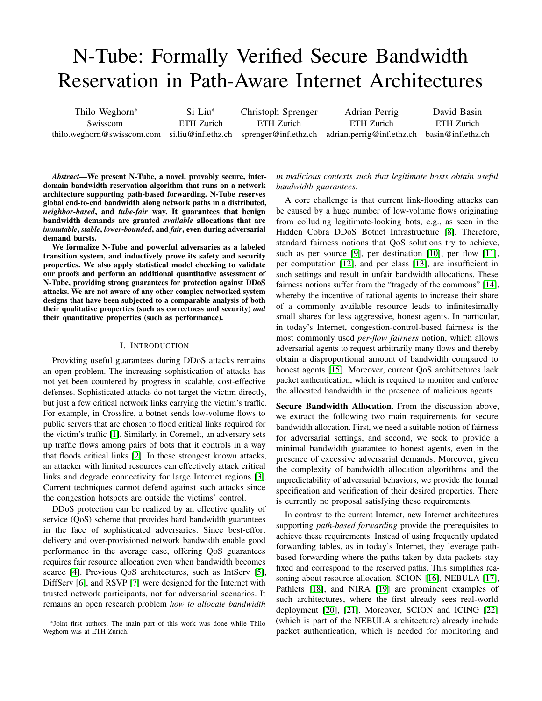# N-Tube: Formally Verified Secure Bandwidth Reservation in Path-Aware Internet Architectures

Thilo Weghorn<sup>∗</sup> Swisscom thilo.weghorn@swisscom.com si.liu@inf.ethz.ch Si Liu<sup>∗</sup> ETH Zurich Christoph Sprenger ETH Zurich sprenger@inf.ethz.ch Adrian Perrig ETH Zurich adrian.perrig@inf.ethz.ch basin@inf.ethz.ch David Basin ETH Zurich

*Abstract*—We present N-Tube, a novel, provably secure, interdomain bandwidth reservation algorithm that runs on a network architecture supporting path-based forwarding. N-Tube reserves global end-to-end bandwidth along network paths in a distributed, *neighbor-based*, and *tube-fair* way. It guarantees that benign bandwidth demands are granted *available* allocations that are *immutable*, *stable*, *lower-bounded*, and *fair*, even during adversarial demand bursts.

We formalize N-Tube and powerful adversaries as a labeled transition system, and inductively prove its safety and security properties. We also apply statistical model checking to validate our proofs and perform an additional quantitative assessment of N-Tube, providing strong guarantees for protection against DDoS attacks. We are not aware of any other complex networked system designs that have been subjected to a comparable analysis of both their qualitative properties (such as correctness and security) *and* their quantitative properties (such as performance).

## I. INTRODUCTION

Providing useful guarantees during DDoS attacks remains an open problem. The increasing sophistication of attacks has not yet been countered by progress in scalable, cost-effective defenses. Sophisticated attacks do not target the victim directly, but just a few critical network links carrying the victim's traffic. For example, in Crossfire, a botnet sends low-volume flows to public servers that are chosen to flood critical links required for the victim's traffic [\[1\]](#page-13-0). Similarly, in Coremelt, an adversary sets up traffic flows among pairs of bots that it controls in a way that floods critical links [\[2\]](#page-13-1). In these strongest known attacks, an attacker with limited resources can effectively attack critical links and degrade connectivity for large Internet regions [\[3\]](#page-13-2). Current techniques cannot defend against such attacks since the congestion hotspots are outside the victims' control.

DDoS protection can be realized by an effective quality of service (QoS) scheme that provides hard bandwidth guarantees in the face of sophisticated adversaries. Since best-effort delivery and over-provisioned network bandwidth enable good performance in the average case, offering QoS guarantees requires fair resource allocation even when bandwidth becomes scarce [\[4\]](#page-13-3). Previous QoS architectures, such as IntServ [\[5\]](#page-13-4), DiffServ [\[6\]](#page-13-5), and RSVP [\[7\]](#page-13-6) were designed for the Internet with trusted network participants, not for adversarial scenarios. It remains an open research problem *how to allocate bandwidth*

## *in malicious contexts such that legitimate hosts obtain useful bandwidth guarantees.*

A core challenge is that current link-flooding attacks can be caused by a huge number of low-volume flows originating from colluding legitimate-looking bots, e.g., as seen in the Hidden Cobra DDoS Botnet Infrastructure [\[8\]](#page-13-7). Therefore, standard fairness notions that QoS solutions try to achieve, such as per source [\[9\]](#page-13-8), per destination [\[10\]](#page-13-9), per flow [\[11\]](#page-14-0), per computation [\[12\]](#page-14-1), and per class [\[13\]](#page-14-2), are insufficient in such settings and result in unfair bandwidth allocations. These fairness notions suffer from the "tragedy of the commons" [\[14\]](#page-14-3), whereby the incentive of rational agents to increase their share of a commonly available resource leads to infinitesimally small shares for less aggressive, honest agents. In particular, in today's Internet, congestion-control-based fairness is the most commonly used *per-flow fairness* notion, which allows adversarial agents to request arbitrarily many flows and thereby obtain a disproportional amount of bandwidth compared to honest agents [\[15\]](#page-14-4). Moreover, current QoS architectures lack packet authentication, which is required to monitor and enforce the allocated bandwidth in the presence of malicious agents.

Secure Bandwidth Allocation. From the discussion above, we extract the following two main requirements for secure bandwidth allocation. First, we need a suitable notion of fairness for adversarial settings, and second, we seek to provide a minimal bandwidth guarantee to honest agents, even in the presence of excessive adversarial demands. Moreover, given the complexity of bandwidth allocation algorithms and the unpredictability of adversarial behaviors, we provide the formal specification and verification of their desired properties. There is currently no proposal satisfying these requirements.

In contrast to the current Internet, new Internet architectures supporting *path-based forwarding* provide the prerequisites to achieve these requirements. Instead of using frequently updated forwarding tables, as in today's Internet, they leverage pathbased forwarding where the paths taken by data packets stay fixed and correspond to the reserved paths. This simplifies reasoning about resource allocation. SCION [\[16\]](#page-14-5), NEBULA [\[17\]](#page-14-6), Pathlets [\[18\]](#page-14-7), and NIRA [\[19\]](#page-14-8) are prominent examples of such architectures, where the first already sees real-world deployment [\[20\]](#page-14-9), [\[21\]](#page-14-10). Moreover, SCION and ICING [\[22\]](#page-14-11) (which is part of the NEBULA architecture) already include packet authentication, which is needed for monitoring and

<sup>∗</sup> Joint first authors. The main part of this work was done while Thilo Weghorn was at ETH Zurich.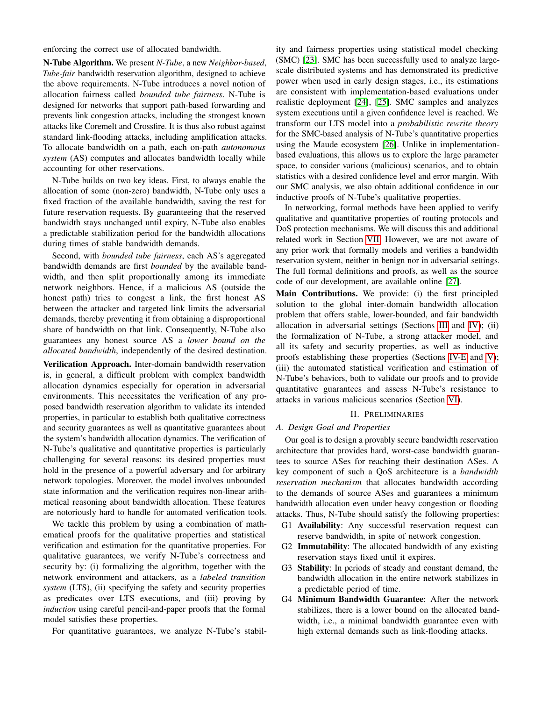enforcing the correct use of allocated bandwidth.

N-Tube Algorithm. We present *N-Tube*, a new *Neighbor-based*, *Tube-fair* bandwidth reservation algorithm, designed to achieve the above requirements. N-Tube introduces a novel notion of allocation fairness called *bounded tube fairness*. N-Tube is designed for networks that support path-based forwarding and prevents link congestion attacks, including the strongest known attacks like Coremelt and Crossfire. It is thus also robust against standard link-flooding attacks, including amplification attacks. To allocate bandwidth on a path, each on-path *autonomous system* (AS) computes and allocates bandwidth locally while accounting for other reservations.

N-Tube builds on two key ideas. First, to always enable the allocation of some (non-zero) bandwidth, N-Tube only uses a fixed fraction of the available bandwidth, saving the rest for future reservation requests. By guaranteeing that the reserved bandwidth stays unchanged until expiry, N-Tube also enables a predictable stabilization period for the bandwidth allocations during times of stable bandwidth demands.

Second, with *bounded tube fairness*, each AS's aggregated bandwidth demands are first *bounded* by the available bandwidth, and then split proportionally among its immediate network neighbors. Hence, if a malicious AS (outside the honest path) tries to congest a link, the first honest AS between the attacker and targeted link limits the adversarial demands, thereby preventing it from obtaining a disproportional share of bandwidth on that link. Consequently, N-Tube also guarantees any honest source AS a *lower bound on the allocated bandwidth*, independently of the desired destination.

Verification Approach. Inter-domain bandwidth reservation is, in general, a difficult problem with complex bandwidth allocation dynamics especially for operation in adversarial environments. This necessitates the verification of any proposed bandwidth reservation algorithm to validate its intended properties, in particular to establish both qualitative correctness and security guarantees as well as quantitative guarantees about the system's bandwidth allocation dynamics. The verification of N-Tube's qualitative and quantitative properties is particularly challenging for several reasons: its desired properties must hold in the presence of a powerful adversary and for arbitrary network topologies. Moreover, the model involves unbounded state information and the verification requires non-linear arithmetical reasoning about bandwidth allocation. These features are notoriously hard to handle for automated verification tools.

We tackle this problem by using a combination of mathematical proofs for the qualitative properties and statistical verification and estimation for the quantitative properties. For qualitative guarantees, we verify N-Tube's correctness and security by: (i) formalizing the algorithm, together with the network environment and attackers, as a *labeled transition system* (LTS), (ii) specifying the safety and security properties as predicates over LTS executions, and (iii) proving by *induction* using careful pencil-and-paper proofs that the formal model satisfies these properties.

For quantitative guarantees, we analyze N-Tube's stabil-

ity and fairness properties using statistical model checking (SMC) [\[23\]](#page-14-12). SMC has been successfully used to analyze largescale distributed systems and has demonstrated its predictive power when used in early design stages, i.e., its estimations are consistent with implementation-based evaluations under realistic deployment [\[24\]](#page-14-13), [\[25\]](#page-14-14). SMC samples and analyzes system executions until a given confidence level is reached. We transform our LTS model into a *probabilistic rewrite theory* for the SMC-based analysis of N-Tube's quantitative properties using the Maude ecosystem [\[26\]](#page-14-15). Unlike in implementationbased evaluations, this allows us to explore the large parameter space, to consider various (malicious) scenarios, and to obtain statistics with a desired confidence level and error margin. With our SMC analysis, we also obtain additional confidence in our inductive proofs of N-Tube's qualitative properties.

In networking, formal methods have been applied to verify qualitative and quantitative properties of routing protocols and DoS protection mechanisms. We will discuss this and additional related work in Section [VII.](#page-12-0) However, we are not aware of any prior work that formally models and verifies a bandwidth reservation system, neither in benign nor in adversarial settings. The full formal definitions and proofs, as well as the source code of our development, are available online [\[27\]](#page-14-16).

Main Contributions. We provide: (i) the first principled solution to the global inter-domain bandwidth allocation problem that offers stable, lower-bounded, and fair bandwidth allocation in adversarial settings (Sections [III](#page-2-0) and [IV\)](#page-5-0); (ii) the formalization of N-Tube, a strong attacker model, and all its safety and security properties, as well as inductive proofs establishing these properties (Sections [IV-E](#page-8-0) and [V\)](#page-9-0); (iii) the automated statistical verification and estimation of N-Tube's behaviors, both to validate our proofs and to provide quantitative guarantees and assess N-Tube's resistance to attacks in various malicious scenarios (Section [VI\)](#page-10-0).

## II. PRELIMINARIES

## *A. Design Goal and Properties*

Our goal is to design a provably secure bandwidth reservation architecture that provides hard, worst-case bandwidth guarantees to source ASes for reaching their destination ASes. A key component of such a QoS architecture is a *bandwidth reservation mechanism* that allocates bandwidth according to the demands of source ASes and guarantees a minimum bandwidth allocation even under heavy congestion or flooding attacks. Thus, N-Tube should satisfy the following properties:

- G1 Availability: Any successful reservation request can reserve bandwidth, in spite of network congestion.
- G2 Immutability: The allocated bandwidth of any existing reservation stays fixed until it expires.
- G3 Stability: In periods of steady and constant demand, the bandwidth allocation in the entire network stabilizes in a predictable period of time.
- G4 Minimum Bandwidth Guarantee: After the network stabilizes, there is a lower bound on the allocated bandwidth, i.e., a minimal bandwidth guarantee even with high external demands such as link-flooding attacks.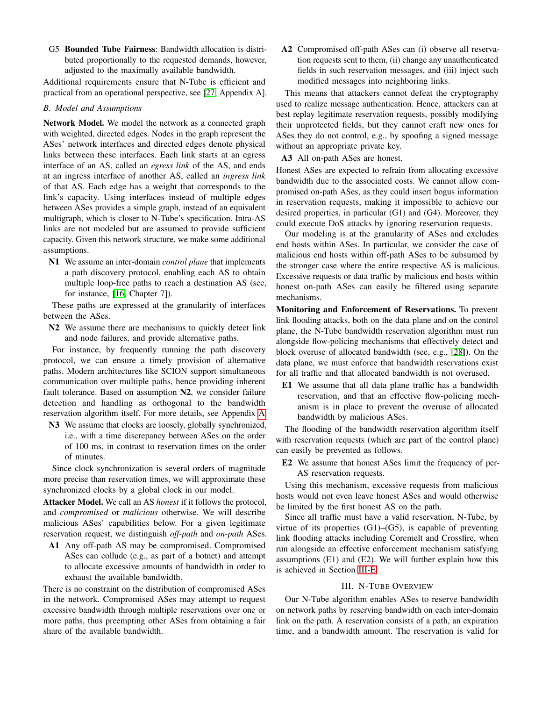G5 Bounded Tube Fairness: Bandwidth allocation is distributed proportionally to the requested demands, however, adjusted to the maximally available bandwidth.

Additional requirements ensure that N-Tube is efficient and practical from an operational perspective, see [\[27,](#page-14-16) Appendix A].

## <span id="page-2-1"></span>*B. Model and Assumptions*

Network Model. We model the network as a connected graph with weighted, directed edges. Nodes in the graph represent the ASes' network interfaces and directed edges denote physical links between these interfaces. Each link starts at an egress interface of an AS, called an *egress link* of the AS, and ends at an ingress interface of another AS, called an *ingress link* of that AS. Each edge has a weight that corresponds to the link's capacity. Using interfaces instead of multiple edges between ASes provides a simple graph, instead of an equivalent multigraph, which is closer to N-Tube's specification. Intra-AS links are not modeled but are assumed to provide sufficient capacity. Given this network structure, we make some additional assumptions.

N1 We assume an inter-domain *control plane* that implements a path discovery protocol, enabling each AS to obtain multiple loop-free paths to reach a destination AS (see, for instance, [\[16,](#page-14-5) Chapter 7]).

These paths are expressed at the granularity of interfaces between the ASes.

N2 We assume there are mechanisms to quickly detect link and node failures, and provide alternative paths.

For instance, by frequently running the path discovery protocol, we can ensure a timely provision of alternative paths. Modern architectures like SCION support simultaneous communication over multiple paths, hence providing inherent fault tolerance. Based on assumption N2, we consider failure detection and handling as orthogonal to the bandwidth reservation algorithm itself. For more details, see Appendix [A.](#page-15-0)

N3 We assume that clocks are loosely, globally synchronized, i.e., with a time discrepancy between ASes on the order of 100 ms, in contrast to reservation times on the order of minutes.

Since clock synchronization is several orders of magnitude more precise than reservation times, we will approximate these synchronized clocks by a global clock in our model.

Attacker Model. We call an AS *honest* if it follows the protocol, and *compromised* or *malicious* otherwise. We will describe malicious ASes' capabilities below. For a given legitimate reservation request, we distinguish *off-path* and *on-path* ASes.

A1 Any off-path AS may be compromised. Compromised ASes can collude (e.g., as part of a botnet) and attempt to allocate excessive amounts of bandwidth in order to exhaust the available bandwidth.

There is no constraint on the distribution of compromised ASes in the network. Compromised ASes may attempt to request excessive bandwidth through multiple reservations over one or more paths, thus preempting other ASes from obtaining a fair share of the available bandwidth.

A2 Compromised off-path ASes can (i) observe all reservation requests sent to them, (ii) change any unauthenticated fields in such reservation messages, and (iii) inject such modified messages into neighboring links.

This means that attackers cannot defeat the cryptography used to realize message authentication. Hence, attackers can at best replay legitimate reservation requests, possibly modifying their unprotected fields, but they cannot craft new ones for ASes they do not control, e.g., by spoofing a signed message without an appropriate private key.

A3 All on-path ASes are honest.

Honest ASes are expected to refrain from allocating excessive bandwidth due to the associated costs. We cannot allow compromised on-path ASes, as they could insert bogus information in reservation requests, making it impossible to achieve our desired properties, in particular (G1) and (G4). Moreover, they could execute DoS attacks by ignoring reservation requests.

Our modeling is at the granularity of ASes and excludes end hosts within ASes. In particular, we consider the case of malicious end hosts within off-path ASes to be subsumed by the stronger case where the entire respective AS is malicious. Excessive requests or data traffic by malicious end hosts within honest on-path ASes can easily be filtered using separate mechanisms.

Monitoring and Enforcement of Reservations. To prevent link flooding attacks, both on the data plane and on the control plane, the N-Tube bandwidth reservation algorithm must run alongside flow-policing mechanisms that effectively detect and block overuse of allocated bandwidth (see, e.g., [\[28\]](#page-14-17)). On the data plane, we must enforce that bandwidth reservations exist for all traffic and that allocated bandwidth is not overused.

E1 We assume that all data plane traffic has a bandwidth reservation, and that an effective flow-policing mechanism is in place to prevent the overuse of allocated bandwidth by malicious ASes.

The flooding of the bandwidth reservation algorithm itself with reservation requests (which are part of the control plane) can easily be prevented as follows.

E2 We assume that honest ASes limit the frequency of per-AS reservation requests.

Using this mechanism, excessive requests from malicious hosts would not even leave honest ASes and would otherwise be limited by the first honest AS on the path.

Since all traffic must have a valid reservation, N-Tube, by virtue of its properties  $(G1)$ – $(G5)$ , is capable of preventing link flooding attacks including Coremelt and Crossfire, when run alongside an effective enforcement mechanism satisfying assumptions (E1) and (E2). We will further explain how this is achieved in Section [III-E.](#page-5-1)

## III. N-TUBE OVERVIEW

<span id="page-2-0"></span>Our N-Tube algorithm enables ASes to reserve bandwidth on network paths by reserving bandwidth on each inter-domain link on the path. A reservation consists of a path, an expiration time, and a bandwidth amount. The reservation is valid for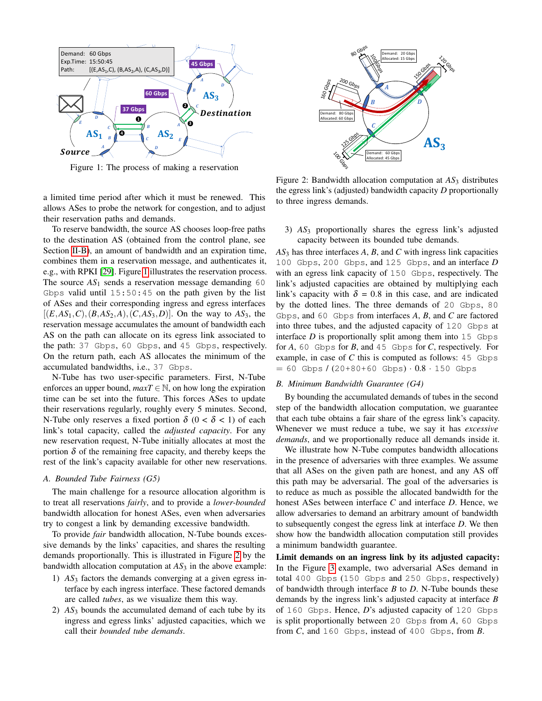<span id="page-3-0"></span>

Figure 1: The process of making a reservation

a limited time period after which it must be renewed. This allows ASes to probe the network for congestion, and to adjust their reservation paths and demands.

To reserve bandwidth, the source AS chooses loop-free paths to the destination AS (obtained from the control plane, see Section [II-B\)](#page-2-1), an amount of bandwidth and an expiration time, combines them in a reservation message, and authenticates it, e.g., with RPKI [\[29\]](#page-14-18). Figure [1](#page-3-0) illustrates the reservation process. The source  $AS_1$  sends a reservation message demanding 60 Gbps valid until  $15:50:45$  on the path given by the list of ASes and their corresponding ingress and egress interfaces  $[(E, AS_1, C), (B, AS_2, A), (C, AS_3, D)]$ . On the way to  $AS_3$ , the reservation message accumulates the amount of bandwidth each AS on the path can allocate on its egress link associated to the path: 37 Gbps, 60 Gbps, and 45 Gbps, respectively. On the return path, each AS allocates the minimum of the accumulated bandwidths, i.e., 37 Gbps.

N-Tube has two user-specific parameters. First, N-Tube enforces an upper bound,  $maxT \in \mathbb{N}$ , on how long the expiration time can be set into the future. This forces ASes to update their reservations regularly, roughly every 5 minutes. Second, N-Tube only reserves a fixed portion  $\delta$  (0 <  $\delta$  < 1) of each link's total capacity, called the *adjusted capacity*. For any new reservation request, N-Tube initially allocates at most the portion  $\delta$  of the remaining free capacity, and thereby keeps the rest of the link's capacity available for other new reservations.

## *A. Bounded Tube Fairness (G5)*

The main challenge for a resource allocation algorithm is to treat all reservations *fairly*, and to provide a *lower-bounded* bandwidth allocation for honest ASes, even when adversaries try to congest a link by demanding excessive bandwidth.

To provide *fair* bandwidth allocation, N-Tube bounds excessive demands by the links' capacities, and shares the resulting demands proportionally. This is illustrated in Figure [2](#page-3-1) by the bandwidth allocation computation at  $AS<sub>3</sub>$  in the above example:

- 1) *AS*<sup>3</sup> factors the demands converging at a given egress interface by each ingress interface. These factored demands are called *tubes*, as we visualize them this way.
- 2) *AS*<sup>3</sup> bounds the accumulated demand of each tube by its ingress and egress links' adjusted capacities, which we call their *bounded tube demands*.

<span id="page-3-1"></span>

Figure 2: Bandwidth allocation computation at  $AS_3$  distributes the egress link's (adjusted) bandwidth capacity *D* proportionally to three ingress demands.

#### 3) AS<sub>3</sub> proportionally shares the egress link's adjusted  $120$ capacity between its bounded tube demands.

*AS*<sup>3</sup> has three interfaces *A*, *B*, and *C* with ingress link capacities 100 Gbps, 200 Gbps, and 125 Gbps, and an interface *D* with an egress link capacity of 150 Gbps, respectively. The link's adjusted capacities are obtained by multiplying each link's capacity with  $\delta = 0.8$  in this case, and are indicated by the dotted lines. The three demands of 20 Gbps, 80 Gbps, and 60 Gbps from interfaces *A*, *B*, and *C* are factored into three tubes, and the adjusted capacity of 120 Gbps at interface  $D$  is proportionally split among them into  $15$  Gbps for *A*, 60 Gbps for *B*, and 45 Gbps for *C*, respectively. For example, in case of *C* this is computed as follows: 45 Gbps  $= 60$  Gbps /  $(20+80+60$  Gbps $) \cdot 0.8 \cdot 150$  Gbps

#### <span id="page-3-2"></span>*B. Minimum Bandwidth Guarantee (G4)*

By bounding the accumulated demands of tubes in the second step of the bandwidth allocation computation, we guarantee that each tube obtains a fair share of the egress link's capacity. Whenever we must reduce a tube, we say it has *excessive demands*, and we proportionally reduce all demands inside it.

We illustrate how N-Tube computes bandwidth allocations in the presence of adversaries with three examples. We assume that all ASes on the given path are honest, and any AS off this path may be adversarial. The goal of the adversaries is to reduce as much as possible the allocated bandwidth for the honest ASes between interface *C* and interface *D*. Hence, we allow adversaries to demand an arbitrary amount of bandwidth to subsequently congest the egress link at interface *D*. We then show how the bandwidth allocation computation still provides a minimum bandwidth guarantee.

Limit demands on an ingress link by its adjusted capacity: In the Figure [3](#page-4-0) example, two adversarial ASes demand in total 400 Gbps (150 Gbps and 250 Gbps, respectively) of bandwidth through interface *B* to *D*. N-Tube bounds these demands by the ingress link's adjusted capacity at interface *B* of 160 Gbps. Hence, *D*'s adjusted capacity of 120 Gbps is split proportionally between 20 Gbps from *A*, 60 Gbps from *C*, and 160 Gbps, instead of 400 Gbps, from *B*.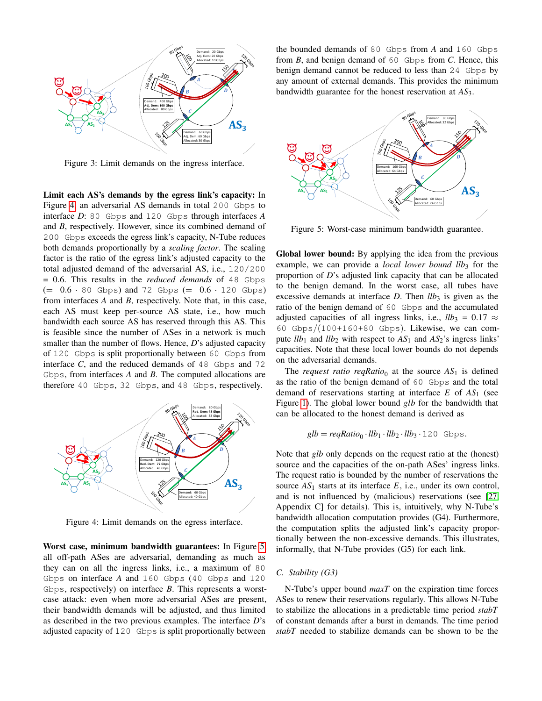<span id="page-4-0"></span>

Figure 3: Limit demands on the ingress interface.

Limit each AS's demands by the egress link's capacity: In Figure [4,](#page-4-1) an adversarial AS demands in total 200 Gbps to interface *D*: 80 Gbps and 120 Gbps through interfaces *A* and *B*, respectively. However, since its combined demand of 200 Gbps exceeds the egress link's capacity, N-Tube reduces both demands proportionally by a *scaling factor*. The scaling factor is the ratio of the egress link's adjusted capacity to the total adjusted demand of the adversarial AS, i.e., 120/200 = 0.6. This results in the *reduced demands* of 48 Gbps  $(= 0.6 \cdot 80$  Gbps) and 72 Gbps  $(= 0.6 \cdot 120$  Gbps) from interfaces *A* and *B*, respectively. Note that, in this case, each AS must keep per-source AS state, i.e., how much bandwidth each source AS has reserved through this AS. This is feasible since the number of ASes in a network is much smaller than the number of flows. Hence, *D*'s adjusted capacity of 120 Gbps is split proportionally between 60 Gbps from interface  $C$ , and the reduced demands of  $48$  Gbps and  $72$ Gbps, from interfaces *A* and *B*. The computed allocations are therefore 40 Gbps, 32 Gbps, and 48 Gbps, respectively.

<span id="page-4-1"></span>

Figure 4: Limit demands on the egress interface.

 $120$ Worst case, minimum bandwidth guarantees: In Figure [5,](#page-4-2)  $\frac{1}{12}$ all off-path ASes are adversarial, demanding as much as they can on all the ingress links, i.e., a maximum of 80 Gbps on interface *A* and 160 Gbps (40 Gbps and 120 Gbps, respectively) on interface *B*. This represents a worstcase attack: even when more adversarial ASes are present, their bandwidth demands will be adjusted, and thus limited as described in the two previous examples. The interface *D*'s adjusted capacity of 120 Gbps is split proportionally between

the bounded demands of 80 Gbps from *A* and 160 Gbps from *B*, and benign demand of 60 Gbps from *C*. Hence, this benign demand cannot be reduced to less than 24 Gbps by any amount of external demands. This provides the minimum bandwidth guarantee for the honest reservation at *AS*3.

<span id="page-4-2"></span>

Figure 5: Worst-case minimum bandwidth guarantee.

 $120/30 = 46.5 \pm 1.4$ Global lower bound: By applying the idea from the previous example, we can provide a *local lower bound llb*3 for the proportion of *D*'s adjusted link capacity that can be allocated to the benign demand. In the worst case, all tubes have excessive demands at interface  $D$ . Then  $llb<sub>3</sub>$  is given as the ratio of the benign demand of 60 Gbps and the accumulated adjusted capacities of all ingress links, i.e.,  $llb_3 = 0.17 \approx$ 60 Gbps/(100+160+80 Gbps). Likewise, we can compute  $llb_1$  and  $llb_2$  with respect to  $AS_1$  and  $AS_2$ 's ingress links' capacities. Note that these local lower bounds do not depends on the adversarial demands.

The *request ratio reqRatio*<sub>0</sub> at the source  $AS_1$  is defined as the ratio of the benign demand of 60 Gbps and the total demand of reservations starting at interface *E* of *AS*<sup>1</sup> (see Figure [1\)](#page-3-0). The global lower bound *glb* for the bandwidth that can be allocated to the honest demand is derived as

$$
glb = \text{reqRatio}_0 \cdot llb_1 \cdot llb_2 \cdot llb_3 \cdot 120 \text{ Gbps.}
$$

Note that *glb* only depends on the request ratio at the (honest) source and the capacities of the on-path ASes' ingress links. The request ratio is bounded by the number of reservations the source  $AS_1$  starts at its interface  $E$ , i.e., under its own control, and is not influenced by (malicious) reservations (see [\[27,](#page-14-16) Appendix C] for details). This is, intuitively, why N-Tube's bandwidth allocation computation provides (G4). Furthermore, the computation splits the adjusted link's capacity proportionally between the non-excessive demands. This illustrates, informally, that N-Tube provides (G5) for each link.

#### *C. Stability (G3)*

N-Tube's upper bound *maxT* on the expiration time forces ASes to renew their reservations regularly. This allows N-Tube to stabilize the allocations in a predictable time period *stabT* of constant demands after a burst in demands. The time period *stabT* needed to stabilize demands can be shown to be the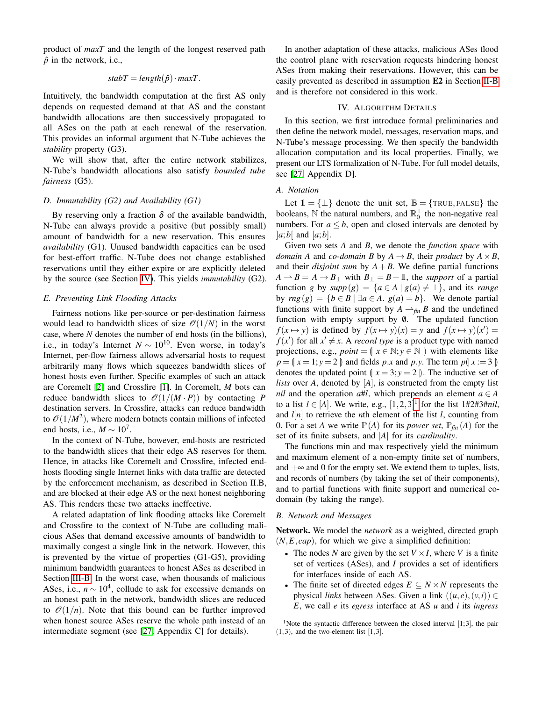product of *maxT* and the length of the longest reserved path  $\hat{p}$  in the network, i.e.,

$$
stabT = length(\hat{p}) \cdot maxT.
$$

Intuitively, the bandwidth computation at the first AS only depends on requested demand at that AS and the constant bandwidth allocations are then successively propagated to all ASes on the path at each renewal of the reservation. This provides an informal argument that N-Tube achieves the *stability* property (G3).

We will show that, after the entire network stabilizes, N-Tube's bandwidth allocations also satisfy *bounded tube fairness* (G5).

## *D. Immutability (G2) and Availability (G1)*

By reserving only a fraction  $\delta$  of the available bandwidth, N-Tube can always provide a positive (but possibly small) amount of bandwidth for a new reservation. This ensures *availability* (G1). Unused bandwidth capacities can be used for best-effort traffic. N-Tube does not change established reservations until they either expire or are explicitly deleted by the source (see Section [IV\)](#page-5-0). This yields *immutability* (G2).

#### <span id="page-5-1"></span>*E. Preventing Link Flooding Attacks*

Fairness notions like per-source or per-destination fairness would lead to bandwidth slices of size  $\mathcal{O}(1/N)$  in the worst case, where *N* denotes the number of end hosts (in the billions), i.e., in today's Internet  $N \sim 10^{10}$ . Even worse, in today's Internet, per-flow fairness allows adversarial hosts to request arbitrarily many flows which squeezes bandwidth slices of honest hosts even further. Specific examples of such an attack are Coremelt [\[2\]](#page-13-1) and Crossfire [\[1\]](#page-13-0). In Coremelt, *M* bots can reduce bandwidth slices to  $\mathcal{O}(1/(M \cdot P))$  by contacting *P* destination servers. In Crossfire, attacks can reduce bandwidth to  $\mathcal{O}(1/M^2)$ , where modern botnets contain millions of infected end hosts, i.e.,  $M \sim 10^7$ .

In the context of N-Tube, however, end-hosts are restricted to the bandwidth slices that their edge AS reserves for them. Hence, in attacks like Coremelt and Crossfire, infected endhosts flooding single Internet links with data traffic are detected by the enforcement mechanism, as described in Section II.B, and are blocked at their edge AS or the next honest neighboring AS. This renders these two attacks ineffective.

A related adaptation of link flooding attacks like Coremelt and Crossfire to the context of N-Tube are colluding malicious ASes that demand excessive amounts of bandwidth to maximally congest a single link in the network. However, this is prevented by the virtue of properties (G1-G5), providing minimum bandwidth guarantees to honest ASes as described in Section [III-B.](#page-3-2) In the worst case, when thousands of malicious ASes, i.e.,  $n \sim 10^4$ , collude to ask for excessive demands on an honest path in the network, bandwidth slices are reduced to  $\mathcal{O}(1/n)$ . Note that this bound can be further improved when honest source ASes reserve the whole path instead of an intermediate segment (see [\[27,](#page-14-16) Appendix C] for details).

In another adaptation of these attacks, malicious ASes flood the control plane with reservation requests hindering honest ASes from making their reservations. However, this can be easily prevented as described in assumption E2 in Section [II-B](#page-2-1) and is therefore not considered in this work.

## IV. ALGORITHM DETAILS

<span id="page-5-0"></span>In this section, we first introduce formal preliminaries and then define the network model, messages, reservation maps, and N-Tube's message processing. We then specify the bandwidth allocation computation and its local properties. Finally, we present our LTS formalization of N-Tube. For full model details, see [\[27,](#page-14-16) Appendix D].

#### *A. Notation*

Let  $1 = \{\perp\}$  denote the unit set,  $\mathbb{B} = \{\text{TRUE}, \text{FALSE}\}\$  the booleans, N the natural numbers, and  $\mathbb{R}^+_0$  the non-negative real numbers. For  $a \leq b$ , open and closed intervals are denoted by  $|a;b|$  and  $|a;b|$ .

Given two sets *A* and *B*, we denote the *function space* with *domain A* and *co-domain B* by  $A \rightarrow B$ , their *product* by  $A \times B$ , and their *disjoint sum* by  $A + B$ . We define partial functions  $A \rightarrow B = A \rightarrow B_{\perp}$  with  $B_{\perp} = B + 1$ , the *support* of a partial function *g* by  $supp(g) = \{a \in A \mid g(a) \neq \bot\}$ , and its *range* by  $\text{rng}(g) = \{b \in B \mid \exists a \in A \colon g(a) = b\}.$  We denote partial functions with finite support by  $A \rightharpoonup_{\text{fin}} B$  and the undefined function with empty support by  $\emptyset$ . The updated function *f*( $x \mapsto y$ ) is defined by  $f(x \mapsto y)(x) = y$  and  $f(x \mapsto y)(x') = 0$  $f(x')$  for all  $x' \neq x$ . A *record type* is a product type with named projections, e.g.,  $point = \{ x \in \mathbb{N} : y \in \mathbb{N} \}$  with elements like  $p = (x = 1; y = 2)$  and fields *p.x* and *p.y.* The term  $p(x := 3)$ denotes the updated point  $\int x = 3; y = 2$ . The inductive set of *lists* over *A*, denoted by [*A*], is constructed from the empty list *nil* and the operation  $a \# l$ , which prepends an element  $a \in A$ to a list *l* ∈ [*A*]. We write, e.g.,  $[1, 2, 3]$  $[1, 2, 3]$  $[1, 2, 3]$ <sup>1</sup> for the list 1#2#3#*nil*, and *l*[*n*] to retrieve the *n*th element of the list *l*, counting from 0. For a set *A* we write  $\mathbb{P}(A)$  for its *power set*,  $\mathbb{P}_{fin}(A)$  for the set of its finite subsets, and |*A*| for its *cardinality*.

The functions min and max respectively yield the minimum and maximum element of a non-empty finite set of numbers, and  $+\infty$  and 0 for the empty set. We extend them to tuples, lists, and records of numbers (by taking the set of their components), and to partial functions with finite support and numerical codomain (by taking the range).

#### *B. Network and Messages*

Network. We model the *network* as a weighted, directed graph  $(N, E, cap)$ , for which we give a simplified definition:

- The nodes *N* are given by the set  $V \times I$ , where *V* is a finite set of vertices (ASes), and *I* provides a set of identifiers for interfaces inside of each AS.
- The finite set of directed edges  $E \subseteq N \times N$  represents the physical *links* between ASes. Given a link  $((u, e), (v, i)) \in$ *E*, we call *e* its *egress* interface at AS *u* and *i* its *ingress*

<span id="page-5-2"></span><sup>1</sup>Note the syntactic difference between the closed interval  $[1;3]$ , the pair  $(1,3)$ , and the two-element list  $[1,3]$ .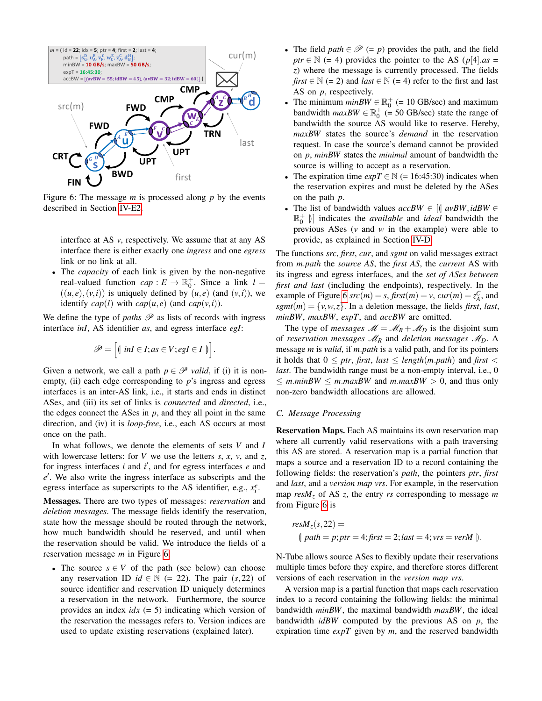<span id="page-6-0"></span>

Figure 6: The message *m* is processed along *p* by the events described in Section [IV-E2.](#page-9-1)

interface at AS *v*, respectively. We assume that at any AS interface there is either exactly one *ingress* and one *egress* link or no link at all.

• The *capacity* of each link is given by the non-negative real-valued function  $cap: E \to \mathbb{R}_0^+$ . Since a link  $l =$  $((u, e), (v, i))$  is uniquely defined by  $(u, e)$  (and  $(v, i)$ ), we identify  $cap(l)$  with  $cap(u, e)$  (and  $cap(v, i)$ ).

We define the type of *paths*  $\mathscr P$  as lists of records with ingress interface *inI*, AS identifier *as*, and egress interface *egI*:

$$
\mathscr{P} = \Big[ \langle \text{ in } I \in I; as \in V; egI \in I \rangle \Big].
$$

Given a network, we call a path  $p \in \mathcal{P}$  *valid*, if (i) it is nonempty, (ii) each edge corresponding to *p*'s ingress and egress interfaces is an inter-AS link, i.e., it starts and ends in distinct ASes, and (iii) its set of links is *connected* and *directed*, i.e., the edges connect the ASes in  $p$ , and they all point in the same direction, and (iv) it is *loop-free*, i.e., each AS occurs at most once on the path.

In what follows, we denote the elements of sets *V* and *I* with lowercase letters: for *V* we use the letters *s*, *x*, *v*, and *z*, for ingress interfaces  $i$  and  $i'$ , and for egress interfaces  $e$  and e<sup>'</sup>. We also write the ingress interface as subscripts and the egress interface as superscripts to the AS identifier, e.g.,  $x_i^e$ .

Messages. There are two types of messages: *reservation* and *deletion messages*. The message fields identify the reservation, state how the message should be routed through the network, how much bandwidth should be reserved, and until when the reservation should be valid. We introduce the fields of a reservation message *m* in Figure [6:](#page-6-0)

• The source  $s \in V$  of the path (see below) can choose any reservation ID  $id \in \mathbb{N}$  (= 22). The pair  $(s, 22)$  of source identifier and reservation ID uniquely determines a reservation in the network. Furthermore, the source provides an index *idx* (= 5) indicating which version of the reservation the messages refers to. Version indices are used to update existing reservations (explained later).

- The field  $path \in \mathcal{P}$  (= p) provides the path, and the field *ptr*  $\in \mathbb{N}$  (= 4) provides the pointer to the AS ( $p[4]$ .*as* = *z*) where the message is currently processed. The fields *first*  $\in \mathbb{N}$  (= 2) and *last*  $\in \mathbb{N}$  (= 4) refer to the first and last AS on *p*, respectively.
- The minimum  $minBW \in \mathbb{R}^+_0$  (= 10 GB/sec) and maximum bandwidth  $maxBW \in \mathbb{R}_0^+$  (= 50 GB/sec) state the range of bandwidth the source AS would like to reserve. Hereby, *maxBW* states the source's *demand* in the reservation request. In case the source's demand cannot be provided on *p*, *minBW* states the *minimal* amount of bandwidth the source is willing to accept as a reservation.
- The expiration time  $expT \in \mathbb{N}$  (= 16:45:30) indicates when the reservation expires and must be deleted by the ASes on the path *p*.
- The list of bandwidth values  $accBW \in [\int avBW, idBW \in$  $\mathbb{R}^+_0$  | indicates the *available* and *ideal* bandwidth the **provisions** ASes (*v*, and *w*, in the example) were able to previous ASes (*v* and *w* in the example) were able to provide, as explained in Section [IV-D.](#page-7-0)

The functions *src*, *first*, *cur*, and *sgmt* on valid messages extract from *m*.*path* the *source AS*, the *first AS*, the *current* AS with its ingress and egress interfaces, and the *set of ASes between first and last* (including the endpoints), respectively. In the example of Figure [6](#page-6-0)  $src(m) = s$ ,  $first(m) = v$ ,  $cur(m) = z_A^C$ , and  $sgmt(m) = \{v, w, z\}$ . In a deletion message, the fields *first*, *last*, *minBW*, *maxBW*, *expT*, and *accBW* are omitted.

The type of *messages*  $M = M_R + M_D$  is the disjoint sum of *reservation messages* M*<sup>R</sup>* and *deletion messages* M*D*. A message *m* is *valid*, if *m*.*path* is a valid path, and for its pointers it holds that  $0 \leq ptr$ , *first*, *last*  $\leq$  *length*(*m.path*) and *first* < *last*. The bandwidth range must be a non-empty interval, i.e., 0  $\leq m \cdot minBW \leq m \cdot maxBW$  and  $m \cdot maxBW > 0$ , and thus only non-zero bandwidth allocations are allowed.

## <span id="page-6-1"></span>*C. Message Processing*

Reservation Maps. Each AS maintains its own reservation map where all currently valid reservations with a path traversing this AS are stored. A reservation map is a partial function that maps a source and a reservation ID to a record containing the following fields: the reservation's *path*, the pointers *ptr*, *first* and *last*, and a *version map vrs*. For example, in the reservation map *resM<sup>z</sup>* of AS *z*, the entry *rs* corresponding to message *m* from Figure [6](#page-6-0) is

$$
resM_z(s, 22) =
$$
  
\n
$$
\text{(path = p;ptr = 4;first = 2; last = 4; vrs = verM ).}
$$

N-Tube allows source ASes to flexibly update their reservations multiple times before they expire, and therefore stores different versions of each reservation in the *version map vrs*.

A version map is a partial function that maps each reservation index to a record containing the following fields: the minimal bandwidth *minBW*, the maximal bandwidth *maxBW*, the ideal bandwidth *idBW* computed by the previous AS on *p*, the expiration time *expT* given by *m*, and the reserved bandwidth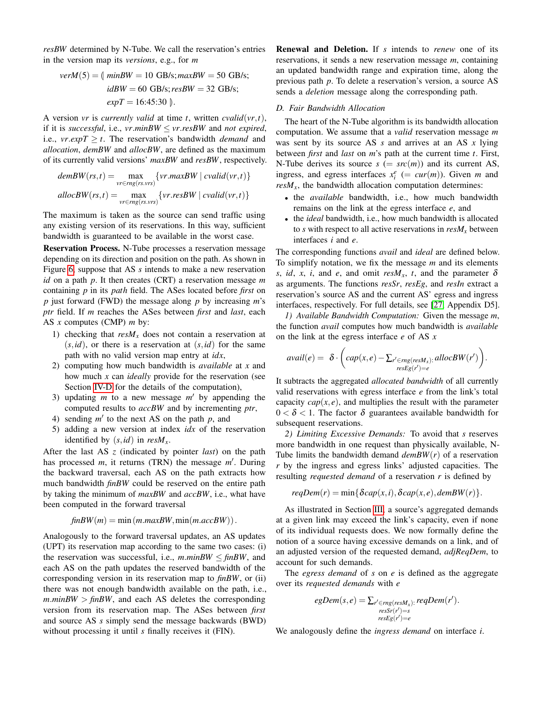*resBW* determined by N-Tube. We call the reservation's entries in the version map its *versions*, e.g., for *m*

$$
verM(5) = \langle \nminBW = 10 \text{ GB/s}; \nmaxBW = 50 \text{ GB/s}; \nidBW = 60 \text{ GB/s}; \nresBW = 32 \text{ GB/s}; \nexpT = 16:45:30 \rangle.
$$

A version *vr* is *currently valid* at time *t*, written *cvalid*(*vr*,*t*), if it is *successful*, i.e.,  $vr.minBW \leq vr.resBW$  and *not expired*, i.e.,  $vr.expT \geq t$ . The reservation's bandwidth *demand* and *allocation*, *demBW* and *allocBW*, are defined as the maximum of its currently valid versions' *maxBW* and *resBW*, respectively.

$$
demBW(rs, t) = \max_{vr \in rng(rs, vrs)} \{vr.maxBW \mid cvalid(vr, t)\}
$$
  
allocBW(rs, t) = 
$$
\max_{vr \in rng(rs, vrs)} \{vr.resBW \mid cvalid(vr, t)\}
$$

The maximum is taken as the source can send traffic using any existing version of its reservations. In this way, sufficient bandwidth is guaranteed to be available in the worst case.

Reservation Process. N-Tube processes a reservation message depending on its direction and position on the path. As shown in Figure [6,](#page-6-0) suppose that AS *s* intends to make a new reservation *id* on a path *p*. It then creates (CRT) a reservation message *m* containing *p* in its *path* field. The ASes located before *first* on *p* just forward (FWD) the message along *p* by increasing *m*'s *ptr* field. If *m* reaches the ASes between *first* and *last*, each AS *x* computes (CMP) *m* by:

- 1) checking that  $resM_x$  does not contain a reservation at  $(s, id)$ , or there is a reservation at  $(s, id)$  for the same path with no valid version map entry at *idx*,
- 2) computing how much bandwidth is *available* at *x* and how much *x* can *ideally* provide for the reservation (see Section [IV-D](#page-7-0) for the details of the computation),
- 3) updating  $m$  to a new message  $m'$  by appending the computed results to *accBW* and by incrementing *ptr*,
- 4) sending  $m'$  to the next AS on the path  $p$ , and
- 5) adding a new version at index *idx* of the reservation identified by  $(s, id)$  in  $resM_x$ .

After the last AS *z* (indicated by pointer *last*) on the path has processed *m*, it returns (TRN) the message *m'*. During the backward traversal, each AS on the path extracts how much bandwidth *finBW* could be reserved on the entire path by taking the minimum of *maxBW* and *accBW*, i.e., what have been computed in the forward traversal

$$
finBW(m) = min(m.maxBW, min(m.accBW)).
$$

Analogously to the forward traversal updates, an AS updates (UPT) its reservation map according to the same two cases: (i) the reservation was successful, i.e.,  $m.minBW \leq finBW$ , and each AS on the path updates the reserved bandwidth of the corresponding version in its reservation map to *finBW*, or (ii) there was not enough bandwidth available on the path, i.e.,  $m.minBW$  >  $finBW$ , and each AS deletes the corresponding version from its reservation map. The ASes between *first* and source AS *s* simply send the message backwards (BWD) without processing it until *s* finally receives it (FIN).

Renewal and Deletion. If *s* intends to *renew* one of its reservations, it sends a new reservation message *m*, containing an updated bandwidth range and expiration time, along the previous path *p*. To delete a reservation's version, a source AS sends a *deletion* message along the corresponding path.

## <span id="page-7-0"></span>*D. Fair Bandwidth Allocation*

The heart of the N-Tube algorithm is its bandwidth allocation computation. We assume that a *valid* reservation message *m* was sent by its source AS *s* and arrives at an AS *x* lying between *first* and *last* on *m*'s path at the current time *t*. First, N-Tube derives its source  $s (= src(m))$  and its current AS, ingress, and egress interfaces  $x_i^e$  (=  $cur(m)$ ). Given *m* and  $resM<sub>x</sub>$ , the bandwidth allocation computation determines:

- the *available* bandwidth, i.e., how much bandwidth remains on the link at the egress interface *e*, and
- the *ideal* bandwidth, i.e., how much bandwidth is allocated to *s* with respect to all active reservations in  $resM_x$  between interfaces *i* and *e*.

The corresponding functions *avail* and *ideal* are defined below. To simplify notation, we fix the message *m* and its elements *s*, *id*, *x*, *i*, and *e*, and omit *resM<sub>x</sub>*, *t*, and the parameter  $\delta$ as arguments. The functions *resSr*, *resEg*, and *resIn* extract a reservation's source AS and the current AS' egress and ingress interfaces, respectively. For full details, see [\[27,](#page-14-16) Appendix D5].

*1) Available Bandwidth Computation:* Given the message *m*, the function *avail* computes how much bandwidth is *available* on the link at the egress interface *e* of AS *x*

$$
avail(e) = \delta \cdot \left( cap(x, e) - \sum_{\substack{r' \in rng(resM_x):} allocBW(r')} \right).
$$

It subtracts the aggregated *allocated bandwidth* of all currently valid reservations with egress interface *e* from the link's total capacity  $cap(x, e)$ , and multiplies the result with the parameter  $0 < \delta < 1$ . The factor  $\delta$  guarantees available bandwidth for subsequent reservations.

*2) Limiting Excessive Demands:* To avoid that *s* reserves more bandwidth in one request than physically available, N-Tube limits the bandwidth demand *demBW*(*r*) of a reservation *r* by the ingress and egress links' adjusted capacities. The resulting *requested demand* of a reservation *r* is defined by

$$
reqDem(r) = min\{\delta cap(x, i), \delta cap(x, e), \text{demBW}(r)\}.
$$

As illustrated in Section [III,](#page-2-0) a source's aggregated demands at a given link may exceed the link's capacity, even if none of its individual requests does. We now formally define the notion of a source having excessive demands on a link, and of an adjusted version of the requested demand, *adjReqDem*, to account for such demands.

The *egress demand* of *s* on *e* is defined as the aggregate over its *requested demands* with *e*

$$
egDem(s, e) = \sum_{\substack{r' \in rng(resM_x): \\ resSr(r') = s}} regDem(r').
$$

We analogously define the *ingress demand* on interface *i*.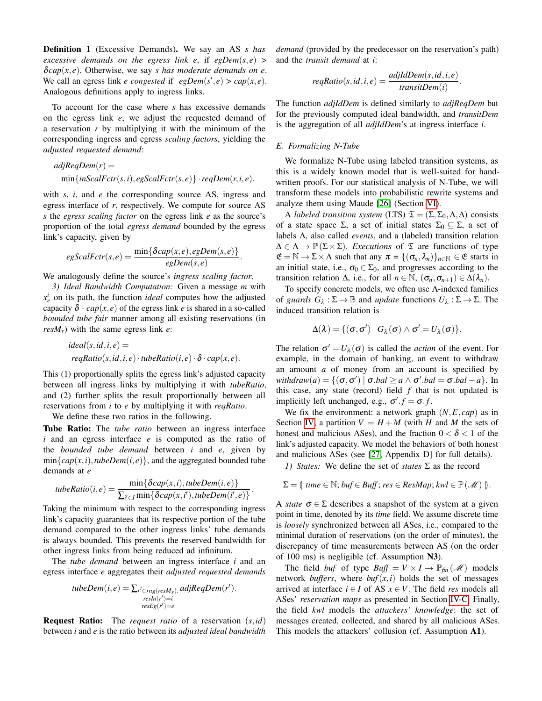Definition 1 (Excessive Demands). We say an AS *s has excessive demands on the egress link e, if*  $e^{i\theta}$  *<i>egDem*(*s, e*) > δ*cap*(*x*, *e*). Otherwise, we say *s has moderate demands on e*. We call an egress link *e congested* if  $egDem(s', e) > cap(x, e)$ . Analogous definitions apply to ingress links.

To account for the case where *s* has excessive demands on the egress link *e*, we adjust the requested demand of a reservation *r* by multiplying it with the minimum of the corresponding ingress and egress *scaling factors*, yielding the *adjusted requested demand*:

$$
adjRegDem(r) =
$$
  
min{*inScalFctr(s,i)*, *egScalFctr(s,e)*} · *regDem(r, i, e)*.

with *s*, *i*, and *e* the corresponding source AS, ingress and egress interface of *r*, respectively. We compute for source AS *s* the *egress scaling factor* on the egress link *e* as the source's proportion of the total *egress demand* bounded by the egress link's capacity, given by

$$
egScalFctr(s,e) = \frac{\min\{\delta cap(x,e), egDem(s,e)\}}{egDem(s,e)}.
$$

We analogously define the source's *ingress scaling factor*.

*3) Ideal Bandwidth Computation:* Given a message *m* with  $x_e^i$  on its path, the function *ideal* computes how the adjusted capacity  $\delta \cdot cap(x, e)$  of the egress link *e* is shared in a so-called *bounded tube fair* manner among all existing reservations (in  $resM_x$ ) with the same egress link *e*:

$$
ideal(s, id, i, e) =
$$
  

$$
reqRatio(s, id, i, e) \cdot tubeRatio(i, e) \cdot \delta \cdot cap(x, e).
$$

This (1) proportionally splits the egress link's adjusted capacity between all ingress links by multiplying it with *tubeRatio*, and (2) further splits the result proportionally between all reservations from *i* to *e* by multiplying it with *reqRatio*.

We define these two ratios in the following.

Tube Ratio: The *tube ratio* between an ingress interface *i* and an egress interface *e* is computed as the ratio of the *bounded tube demand* between *i* and *e*, given by  $\min\{cap(x, i), \text{tubeDem}(i, e)\}\$ , and the aggregated bounded tube demands at *e*

$$
tubeRatio(i, e) = \frac{\min\{\delta cap(x, i), tube Dem(i, e)\}}{\sum_{i' \in I} \min\{\delta cap(x, i'), tubeDem(i', e)\}}.
$$

Taking the minimum with respect to the corresponding ingress link's capacity guarantees that its respective portion of the tube demand compared to the other ingress links' tube demands is always bounded. This prevents the reserved bandwidth for other ingress links from being reduced ad infinitum.

The *tube demand* between an ingress interface *i* and an egress interface *e* aggregates their *adjusted requested demands*

$$
tubeDem(i, e) = \sum_{r' \in rng(resM_x):} {adjRegDem(r')}.
$$
  

$$
resE_g(r') = i
$$
  

$$
resE_g(r') = e
$$

Request Ratio: The *request ratio* of a reservation (*s*,*id*) between *i* and *e* is the ratio between its *adjusted ideal bandwidth* *demand* (provided by the predecessor on the reservation's path) and the *transit demand* at *i*:

$$
reqRatio(s, id, i, e) = \frac{adjld Dem(s, id, i, e)}{transit Dem(i)}
$$

.

The function *adjIdDem* is defined similarly to *adjReqDem* but for the previously computed ideal bandwidth, and *transitDem* is the aggregation of all *adjIdDem*'s at ingress interface *i*.

## <span id="page-8-0"></span>*E. Formalizing N-Tube*

We formalize N-Tube using labeled transition systems, as this is a widely known model that is well-suited for handwritten proofs. For our statistical analysis of N-Tube, we will transform these models into probabilistic rewrite systems and analyze them using Maude [\[26\]](#page-14-15) (Section [VI\)](#page-10-0).

A *labeled transition system* (LTS)  $\mathfrak{T} = (\Sigma, \Sigma_0, \Lambda, \Delta)$  consists of a state space  $\Sigma$ , a set of initial states  $\Sigma_0 \subseteq \Sigma$ , a set of labels Λ, also called *events*, and a (labeled) transition relation  $\Delta \in \Lambda \to \mathbb{P}(\Sigma \times \Sigma)$ . *Executions* of  $\mathfrak T$  are functions of type  $\mathfrak{E} = \mathbb{N} \to \Sigma \times \Lambda$  such that any  $\pi = \{(\sigma_n, \lambda_n)\}_{n \in \mathbb{N}} \in \mathfrak{E}$  starts in an initial state, i.e.,  $\sigma_0 \in \Sigma_0$ , and progresses according to the transition relation  $\Delta$ , i.e., for all  $n \in \mathbb{N}$ ,  $(\sigma_n, \sigma_{n+1}) \in \Delta(\lambda_n)$ .

To specify concrete models, we often use Λ-indexed families of *guards*  $G_{\lambda} : \Sigma \to \mathbb{B}$  and *update* functions  $U_{\lambda} : \Sigma \to \Sigma$ . The induced transition relation is

$$
\Delta(\lambda)=\{(\sigma,\sigma')\ |\ G_\lambda(\sigma)\wedge\sigma'=U_\lambda(\sigma)\}.
$$

The relation  $\sigma' = U_{\lambda}(\sigma)$  is called the *action* of the event. For example, in the domain of banking, an event to withdraw an amount *a* of money from an account is specified by  $$ this case, any state (record) field *f* that is not updated is implicitly left unchanged, e.g.,  $\sigma'$ . $f = \sigma$ .*f*.

We fix the environment: a network graph  $(N, E, cap)$  as in Section [IV,](#page-5-0) a partition  $V = H + M$  (with *H* and *M* the sets of honest and malicious ASes), and the fraction  $0 < \delta < 1$  of the link's adjusted capacity. We model the behaviors of both honest and malicious ASes (see [\[27,](#page-14-16) Appendix D] for full details).

*1) States:* We define the set of *states* Σ as the record

$$
\Sigma = \{ \text{ time } \in \mathbb{N}; \text{ but } \in \text{Buff}; \text{ res } \in \text{ResMap}; \text{ kw1} \in \mathbb{P}(\mathcal{M}) \}.
$$

A *state*  $\sigma \in \Sigma$  describes a snapshot of the system at a given point in time, denoted by its *time* field. We assume discrete time is *loosely* synchronized between all ASes, i.e., compared to the minimal duration of reservations (on the order of minutes), the discrepancy of time measurements between AS (on the order of 100 ms) is negligible (cf. Assumption N3).

The field *buf* of type  $Buff = V \times I \rightarrow \mathbb{P}_{fin}(\mathcal{M})$  models network *buffers*, where  $buf(x,i)$  holds the set of messages arrived at interface  $i \in I$  of AS  $x \in V$ . The field *res* models all ASes' *reservation maps* as presented in Section [IV-C.](#page-6-1) Finally, the field *kwl* models the *attackers' knowledge*: the set of messages created, collected, and shared by all malicious ASes. This models the attackers' collusion (cf. Assumption A1).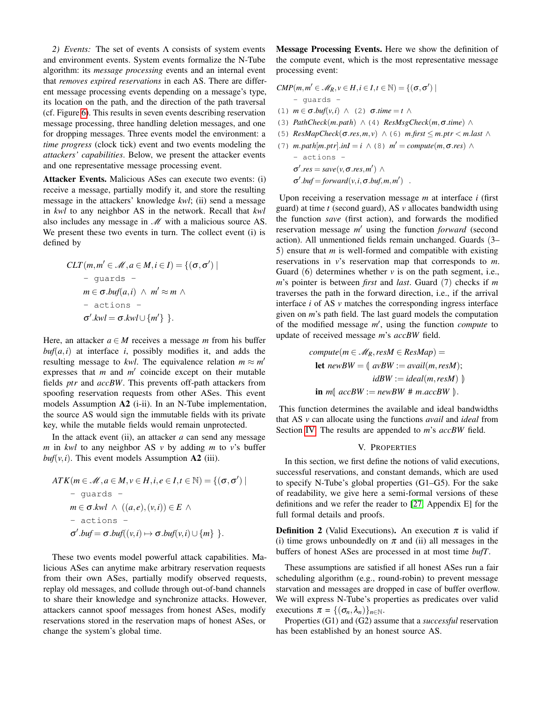<span id="page-9-1"></span>*2) Events:* The set of events Λ consists of system events and environment events. System events formalize the N-Tube algorithm: its *message processing* events and an internal event that *removes expired reservations* in each AS. There are different message processing events depending on a message's type, its location on the path, and the direction of the path traversal (cf. Figure [6\)](#page-6-0). This results in seven events describing reservation message processing, three handling deletion messages, and one for dropping messages. Three events model the environment: a *time progress* (clock tick) event and two events modeling the *attackers' capabilities*. Below, we present the attacker events and one representative message processing event.

Attacker Events. Malicious ASes can execute two events: (i) receive a message, partially modify it, and store the resulting message in the attackers' knowledge *kwl*; (ii) send a message in *kwl* to any neighbor AS in the network. Recall that *kwl* also includes any message in  $\mathcal M$  with a malicious source AS. We present these two events in turn. The collect event (i) is defined by

$$
CLT(m, m' \in \mathcal{M}, a \in M, i \in I) = \{(\sigma, \sigma') \mid
$$
  
- guards -  

$$
m \in \sigma.buf(a, i) \land m' \approx m \land
$$
  
- actions -  

$$
\sigma'.kwl = \sigma.kwl \cup \{m'\} \}.
$$

Here, an attacker  $a \in M$  receives a message *m* from his buffer  $buf(a,i)$  at interface *i*, possibly modifies it, and adds the resulting message to *kwl*. The equivalence relation  $m \approx m'$ expresses that  $m$  and  $m'$  coincide except on their mutable fields *ptr* and *accBW*. This prevents off-path attackers from spoofing reservation requests from other ASes. This event models Assumption A2 (i-ii). In an N-Tube implementation, the source AS would sign the immutable fields with its private key, while the mutable fields would remain unprotected.

In the attack event (ii), an attacker  $a$  can send any message *m* in *kwl* to any neighbor AS *v* by adding *m* to *v*'s buffer  $buf(v,i)$ . This event models Assumption A2 (iii).

$$
ATK(m \in \mathcal{M}, a \in M, v \in H, i, e \in I, t \in \mathbb{N}) = \{(\sigma, \sigma') \mid
$$
  
\n– guards –  
\n
$$
m \in \sigma. kwl \land ((a, e), (v, i)) \in E \land
$$
  
\n– actions –  
\n
$$
\sigma'.buf = \sigma.buf((v, i) \mapsto \sigma.buf(v, i) \cup \{m\} \}.
$$

These two events model powerful attack capabilities. Malicious ASes can anytime make arbitrary reservation requests from their own ASes, partially modify observed requests, replay old messages, and collude through out-of-band channels to share their knowledge and synchronize attacks. However, attackers cannot spoof messages from honest ASes, modify reservations stored in the reservation maps of honest ASes, or change the system's global time.

Message Processing Events. Here we show the definition of the compute event, which is the most representative message processing event:

$$
CMP(m, m' \in \mathcal{M}_R, v \in H, i \in I, t \in \mathbb{N}) = \{(\sigma, \sigma') \mid
$$
  
\n- quards -  
\n(1) m ∈ σ.buf(v, i) ∧ (2) σ. time = t ∧  
\n(3) PathCheck(m.path) ∧ (4) ResMsgCheck(m, σ. time) ∧  
\n(5) ResMapCheck(σ. res, m, v) ∧ (6) m.first ≤ m. prr < m. last ∧  
\n(7) m.path[m. prr].inI = i ∧ (8) m' = compute(m, σ. res) ∧  
\n- actions -  
\nσ'.res = save(v, σ. res, m') ∧

 $\sigma'$ .*buf* = *forward*(*v*,*i*,  $\sigma$ .*buf*,*m*,*m*<sup>'</sup>).

Upon receiving a reservation message *m* at interface *i* (first guard) at time *t* (second guard), AS *v* allocates bandwidth using the function *save* (first action), and forwards the modified reservation message m' using the function *forward* (second action). All unmentioned fields remain unchanged. Guards (3– 5) ensure that *m* is well-formed and compatible with existing reservations in *v*'s reservation map that corresponds to *m*. Guard (6) determines whether *v* is on the path segment, i.e., *m*'s pointer is between *first* and *last*. Guard (7) checks if *m* traverses the path in the forward direction, i.e., if the arrival interface *i* of AS *v* matches the corresponding ingress interface given on *m*'s path field. The last guard models the computation of the modified message m', using the function *compute* to update of received message *m*'s *accBW* field.

$$
compute(m \in \mathcal{M}_R, resM \in ResMap) =
$$
  
**let**  $newBW = \langle avBW := avail(m, resM) \rangle$   

$$
idBW := ideal(m, resM) \rangle
$$
  
**in**  $m \langle accBW := newBW \# m.accBW \rangle$ .

This function determines the available and ideal bandwidths that AS *v* can allocate using the functions *avail* and *ideal* from Section [IV.](#page-5-0) The results are appended to *m*'s *accBW* field.

#### V. PROPERTIES

<span id="page-9-0"></span>In this section, we first define the notions of valid executions, successful reservations, and constant demands, which are used to specify N-Tube's global properties (G1–G5). For the sake of readability, we give here a semi-formal versions of these definitions and we refer the reader to [\[27,](#page-14-16) Appendix E] for the full formal details and proofs.

**Definition 2** (Valid Executions). An execution  $\pi$  is valid if (i) time grows unboundedly on  $\pi$  and (ii) all messages in the buffers of honest ASes are processed in at most time *bufT*.

These assumptions are satisfied if all honest ASes run a fair scheduling algorithm (e.g., round-robin) to prevent message starvation and messages are dropped in case of buffer overflow. We will express N-Tube's properties as predicates over valid executions  $\pi = \{(\sigma_n, \lambda_n)\}_{n \in \mathbb{N}}$ .

Properties (G1) and (G2) assume that a *successful* reservation has been established by an honest source AS.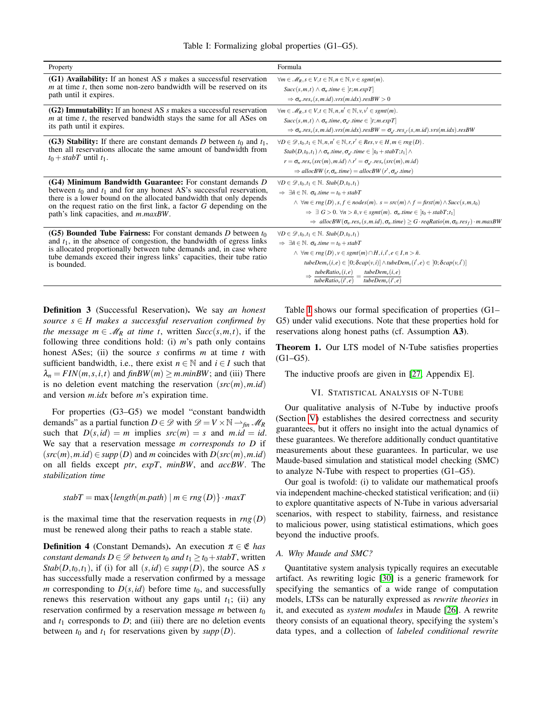<span id="page-10-1"></span>

| Property                                                                                                                                                                     | Formula                                                                                                                                                                                                                                                                                                                                                                                                         |
|------------------------------------------------------------------------------------------------------------------------------------------------------------------------------|-----------------------------------------------------------------------------------------------------------------------------------------------------------------------------------------------------------------------------------------------------------------------------------------------------------------------------------------------------------------------------------------------------------------|
| (G1) Availability: If an honest AS s makes a successful reservation                                                                                                          | $\forall m \in \mathcal{M}_R, s \in V, t \in \mathbb{N}, n \in \mathbb{N}, v \in sgnt(m).$                                                                                                                                                                                                                                                                                                                      |
| $m$ at time $t$ , then some non-zero bandwidth will be reserved on its                                                                                                       | $Succ(s,m,t) \wedge \sigma_n.time \in [t;m.expT]$                                                                                                                                                                                                                                                                                                                                                               |
| path until it expires.                                                                                                                                                       | $\Rightarrow$ $\sigma_n$ res <sub>v</sub> (s, m.id).vrs(m.idx).resBW > 0                                                                                                                                                                                                                                                                                                                                        |
| $(G2)$ Immutability: If an honest AS s makes a successful reservation                                                                                                        | $\forall m \in \mathcal{M}_R, s \in V, t \in \mathbb{N}, n, n' \in \mathbb{N}, v, v' \in sgnt(m).$                                                                                                                                                                                                                                                                                                              |
| $m$ at time $t$ , the reserved bandwidth stays the same for all ASes on                                                                                                      | $Succ(s, m, t) \wedge \sigma_n.time, \sigma_{n'}.time \in [t; m.expT]$                                                                                                                                                                                                                                                                                                                                          |
| its path until it expires.                                                                                                                                                   | $\Rightarrow$ $\sigma_n$ res <sub>v</sub> (s, m.id).vrs(m.idx).resBW = $\sigma_{n'}$ res <sub>v</sub> (s, m.id).vrs(m.idx).resBW                                                                                                                                                                                                                                                                                |
| (G3) Stability: If there are constant demands D between $t_0$ and $t_1$ ,<br>then all reservations allocate the same amount of bandwidth from<br>$t_0 + stabT$ until $t_1$ . | $\forall D \in \mathcal{D}, t_0, t_1 \in \mathbb{N}, n, n' \in \mathbb{N}, r, r' \in Res, v \in H, m \in rng(D)$ .<br>$Stab(D, t_0, t_1) \wedge \sigma_n.time, \sigma_{n'}.time \in  t_0 + stabT; t_1  \wedge$<br>$r = \sigma_n \cdot res_v(\mathit{src}(m), m.id) \wedge r' = \sigma_{n'} \cdot res_v(\mathit{src}(m), m.id)$<br>$\Rightarrow$ allocBW $(r, \sigma_n.time) =$ allocBW $(r', \sigma_{n'}.time)$ |
| (G4) Minimum Bandwidth Guarantee: For constant demands D                                                                                                                     | $\forall D \in \mathcal{D}, t_0, t_1 \in \mathbb{N}$ . Stab $(D, t_0, t_1)$                                                                                                                                                                                                                                                                                                                                     |
| between $t_0$ and $t_1$ and for any honest AS's successful reservation,                                                                                                      | $\Rightarrow \exists \tilde{n} \in \mathbb{N}$ . $\sigma_{\tilde{n}}$ .time = t <sub>0</sub> + stabT                                                                                                                                                                                                                                                                                                            |
| there is a lower bound on the allocated bandwidth that only depends                                                                                                          | $\land \forall m \in rng(D), s, f \in nodes(m). s = src(m) \land f = first(m) \land Succ(s, m, t_0)$                                                                                                                                                                                                                                                                                                            |
| on the request ratio on the first link, a factor G depending on the                                                                                                          | $\Rightarrow \exists G > 0$ . $\forall n > \tilde{n}, v \in sgnt(m)$ . $\sigma_n.time \in [t_0 + stabT; t_1]$                                                                                                                                                                                                                                                                                                   |
| path's link capacities, and $m.maxBW$ .                                                                                                                                      | $\Rightarrow$ allocBW( $\sigma_n$ .res <sub>v</sub> (s, m.id), $\sigma_n$ .time) $\geq G \cdot \text{reqRatio}(m, \sigma_n \text{.res}_f) \cdot m \text{.maxBW}$                                                                                                                                                                                                                                                |
| (G5) Bounded Tube Fairness: For constant demands D between $t_0$                                                                                                             | $\forall D \in \mathcal{D}, t_0, t_1 \in \mathbb{N}$ . Stab $(D, t_0, t_1)$                                                                                                                                                                                                                                                                                                                                     |
| and $t_1$ , in the absence of congestion, the bandwidth of egress links                                                                                                      | $\Rightarrow \exists \tilde{n} \in \mathbb{N}$ . $\sigma_{\tilde{n}}$ .time = t <sub>0</sub> + stabT                                                                                                                                                                                                                                                                                                            |
| is allocated proportionally between tube demands and, in case where                                                                                                          | $\wedge \forall m \in rng(D), v \in sgnt(m) \cap H, i, i', e \in I, n > \tilde{n}.$                                                                                                                                                                                                                                                                                                                             |
| tube demands exceed their ingress links' capacities, their tube ratio                                                                                                        | tubeDem <sub>v</sub> $(i, e) \in [0; \delta cap(v, i)] \wedge tubeDem_v(i', e) \in [0; \delta cap(v, i')]$                                                                                                                                                                                                                                                                                                      |
| is bounded.                                                                                                                                                                  | $\Rightarrow \frac{tubeRatio_v(i, e)}{tubeRatio_v(i', e)} = \frac{tube Dem_v(i, e)}{tube Dem_v(i', e)}$                                                                                                                                                                                                                                                                                                         |

Definition 3 (Successful Reservation). We say *an honest source*  $s \in H$  *makes a successful reservation confirmed by the message*  $m \in M_R$  *at time t*, written  $Succ(s,m,t)$ , if the following three conditions hold: (i) *m*'s path only contains honest ASes; (ii) the source *s* confirms *m* at time *t* with sufficient bandwidth, i.e., there exist  $n \in \mathbb{N}$  and  $i \in I$  such that  $\lambda_n = FIN(m, s, i, t)$  and  $finBW(m) \geq m.minBW$ ; and (iii) There is no deletion event matching the reservation  $(src(m), m.id)$ and version *m*.*idx* before *m*'s expiration time.

For properties (G3–G5) we model "constant bandwidth demands" as a partial function  $D \in \mathscr{D}$  with  $\mathscr{D} = V \times \mathbb{N} \longrightarrow_{fin} \mathscr{M}_R$ such that  $D(s, id) = m$  implies  $src(m) = s$  and  $m.id = id$ . We say that a reservation message *m corresponds to D* if  $(src(m), m.id) \in supp(D)$  and *m* coincides with  $D(src(m), m.id)$ on all fields except *ptr*, *expT*, *minBW*, and *accBW*. The *stabilization time*

$$
stabT = max\{length(m.path) | m \in rng(D)\}\cdot maxT
$$

is the maximal time that the reservation requests in  $rng(D)$ must be renewed along their paths to reach a stable state.

**Definition 4** (Constant Demands). An execution  $\pi \in \mathfrak{E}$  has *constant demands*  $D \in \mathcal{D}$  *between*  $t_0$  *and*  $t_1 \geq t_0 + \text{stabT}$ , written *Stab*( $D$ , $t_0$ , $t_1$ ), if (i) for all  $(s, id) \in supp(D)$ , the source AS *s* has successfully made a reservation confirmed by a message *m* corresponding to  $D(s, id)$  before time  $t_0$ , and successfully renews this reservation without any gaps until  $t_1$ ; (ii) any reservation confirmed by a reservation message  $m$  between  $t_0$ and  $t_1$  corresponds to  $D$ ; and (iii) there are no deletion events between  $t_0$  and  $t_1$  for reservations given by  $supp(D)$ .

Table [I](#page-10-1) shows our formal specification of properties (G1– G5) under valid executions. Note that these properties hold for reservations along honest paths (cf. Assumption A3).

Theorem 1. Our LTS model of N-Tube satisfies properties  $(G1–G5)$ .

The inductive proofs are given in [\[27,](#page-14-16) Appendix E].

#### VI. STATISTICAL ANALYSIS OF N-TUBE

<span id="page-10-0"></span>Our qualitative analysis of N-Tube by inductive proofs (Section [V\)](#page-9-0) establishes the desired correctness and security guarantees, but it offers no insight into the actual dynamics of these guarantees. We therefore additionally conduct quantitative measurements about these guarantees. In particular, we use Maude-based simulation and statistical model checking (SMC) to analyze N-Tube with respect to properties (G1–G5).

Our goal is twofold: (i) to validate our mathematical proofs via independent machine-checked statistical verification; and (ii) to explore quantitative aspects of N-Tube in various adversarial scenarios, with respect to stability, fairness, and resistance to malicious power, using statistical estimations, which goes beyond the inductive proofs.

## *A. Why Maude and SMC?*

Quantitative system analysis typically requires an executable artifact. As rewriting logic [\[30\]](#page-14-19) is a generic framework for specifying the semantics of a wide range of computation models, LTSs can be naturally expressed as *rewrite theories* in it, and executed as *system modules* in Maude [\[26\]](#page-14-15). A rewrite theory consists of an equational theory, specifying the system's data types, and a collection of *labeled conditional rewrite*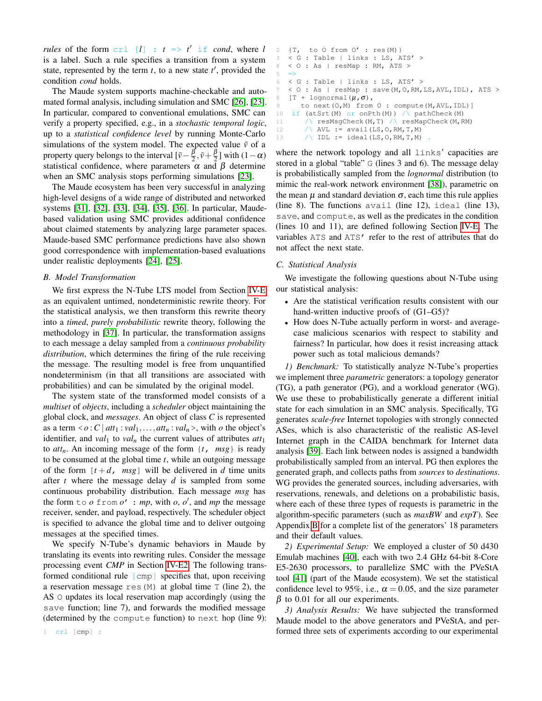*rules* of the form  $\text{crl}$   $[l]$  :  $t \Rightarrow t'$  if *cond*, where *l* is a label. Such a rule specifies a transition from a system state, represented by the term  $t$ , to a new state  $t'$ , provided the condition *cond* holds.

The Maude system supports machine-checkable and automated formal analysis, including simulation and SMC [\[26\]](#page-14-15), [\[23\]](#page-14-12). In particular, compared to conventional emulations, SMC can verify a property specified, e.g., in a *stochastic temporal logic*, up to a *statistical confidence level* by running Monte-Carlo simulations of the system model. The expected value  $\bar{v}$  of a property query belongs to the interval  $[\bar{v} - \frac{\beta}{2}, \bar{v} + \frac{\beta}{2}]$  with  $(1 - \alpha)$ statistical confidence, where parameters  $\alpha$  and  $\beta$  determine when an SMC analysis stops performing simulations [\[23\]](#page-14-12).

The Maude ecosystem has been very successful in analyzing high-level designs of a wide range of distributed and networked systems [\[31\]](#page-14-20), [\[32\]](#page-14-21), [\[33\]](#page-14-22), [\[34\]](#page-14-23), [\[35\]](#page-14-24), [\[36\]](#page-14-25). In particular, Maudebased validation using SMC provides additional confidence about claimed statements by analyzing large parameter spaces. Maude-based SMC performance predictions have also shown good correspondence with implementation-based evaluations under realistic deployments [\[24\]](#page-14-13), [\[25\]](#page-14-14).

#### *B. Model Transformation*

We first express the N-Tube LTS model from Section [IV-E](#page-8-0) as an equivalent untimed, nondeterministic rewrite theory. For the statistical analysis, we then transform this rewrite theory into a *timed*, *purely probabilistic* rewrite theory, following the methodology in [\[37\]](#page-14-26). In particular, the transformation assigns to each message a delay sampled from a *continuous probability distribution*, which determines the firing of the rule receiving the message. The resulting model is free from unquantified nondeterminism (in that all transitions are associated with probabilities) and can be simulated by the original model.

The system state of the transformed model consists of a *multiset* of *objects*, including a *scheduler* object maintaining the global clock, and *messages*. An object of class *C* is represented as a term  $\langle o : C | att_1 : val_1, \ldots, att_n : val_n \rangle$ , with *o* the object's identifier, and *val*<sub>1</sub> to *val*<sub>*n*</sub> the current values of attributes  $att_1$ to *attn*. An incoming message of the form {*t*, *msg*} is ready to be consumed at the global time *t*, while an outgoing message of the form  $[t+d, msg]$  will be delivered in *d* time units after *t* where the message delay *d* is sampled from some continuous probability distribution. Each message *msg* has the form  $\pm \circ \circ \pm \circ \circ \circ'$  : *mp*, with *o*, *o'*, and *mp* the message receiver, sender, and payload, respectively. The scheduler object is specified to advance the global time and to deliver outgoing messages at the specified times.

We specify N-Tube's dynamic behaviors in Maude by translating its events into rewriting rules. Consider the message processing event *CMP* in Section [IV-E2.](#page-9-1) The following transformed conditional rule [cmp] specifies that, upon receiving a reservation message res  $(M)$  at global time T (line 2), the AS O updates its local reservation map accordingly (using the save function; line 7), and forwards the modified message (determined by the compute function) to next hop (line 9): where the network topology and all links' capacities are stored in a global "table" G (lines 3 and 6). The message delay is probabilistically sampled from the *lognormal* distribution (to mimic the real-work network environment [\[38\]](#page-14-27)), parametric on the mean  $\mu$  and standard deviation  $\sigma$ , each time this rule applies (line 8). The functions avail (line 12), ideal (line 13), save, and compute, as well as the predicates in the condition (lines 10 and 11), are defined following Section [IV-E.](#page-8-0) The variables ATS and ATS' refer to the rest of attributes that do not affect the next state.

#### *C. Statistical Analysis*

We investigate the following questions about N-Tube using our statistical analysis:

- Are the statistical verification results consistent with our hand-written inductive proofs of (G1–G5)?
- How does N-Tube actually perform in worst- and averagecase malicious scenarios with respect to stability and fairness? In particular, how does it resist increasing attack power such as total malicious demands?

*1) Benchmark:* To statistically analyze N-Tube's properties we implement three *parametric* generators: a topology generator (TG), a path generator (PG), and a workload generator (WG). We use these to probabilistically generate a different initial state for each simulation in an SMC analysis. Specifically, TG generates *scale-free* Internet topologies with strongly connected ASes, which is also characteristic of the realistic AS-level Internet graph in the CAIDA benchmark for Internet data analysis [\[39\]](#page-14-28). Each link between nodes is assigned a bandwidth probabilistically sampled from an interval. PG then explores the generated graph, and collects paths from *sources* to *destinations*. WG provides the generated sources, including adversaries, with reservations, renewals, and deletions on a probabilistic basis, where each of these three types of requests is parametric in the algorithm-specific parameters (such as *maxBW* and *expT*). See Appendix [B](#page-15-1) for a complete list of the generators' 18 parameters and their default values.

*2) Experimental Setup:* We employed a cluster of 50 d430 Emulab machines [\[40\]](#page-14-29), each with two 2.4 GHz 64-bit 8-Core E5-2630 processors, to parallelize SMC with the PVeStA tool [\[41\]](#page-14-30) (part of the Maude ecosystem). We set the statistical confidence level to 95%, i.e.,  $\alpha = 0.05$ , and the size parameter  $β$  to 0.01 for all our experiments.

*3) Analysis Results:* We have subjected the transformed Maude model to the above generators and PVeStA, and performed three sets of experiments according to our experimental

1 crl [cmp] :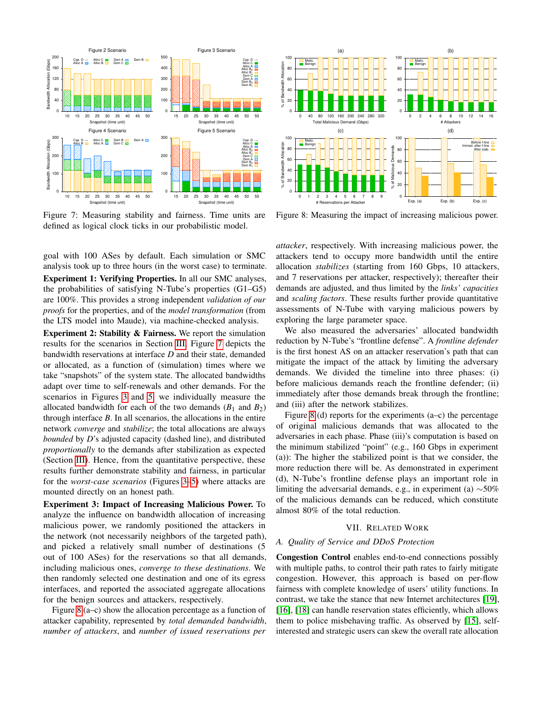<span id="page-12-1"></span>

Figure 7: Measuring stability and fairness. Time units are defined as logical clock ticks in our probabilistic model.

goal with 100 ASes by default. Each simulation or SMC analysis took up to three hours (in the worst case) to terminate. Experiment 1: Verifying Properties. In all our SMC analyses, the probabilities of satisfying N-Tube's properties (G1–G5) are 100%. This provides a strong independent *validation of our proofs* for the properties, and of the *model transformation* (from the LTS model into Maude), via machine-checked analysis.

Experiment 2: Stability & Fairness. We report the simulation results for the scenarios in Section [III.](#page-2-0) Figure [7](#page-12-1) depicts the bandwidth reservations at interface *D* and their state, demanded or allocated, as a function of (simulation) times where we take "snapshots" of the system state. The allocated bandwidths adapt over time to self-renewals and other demands. For the scenarios in Figures [3](#page-4-0) and [5,](#page-4-2) we individually measure the allocated bandwidth for each of the two demands  $(B_1 \text{ and } B_2)$ through interface *B*. In all scenarios, the allocations in the entire network *converge* and *stabilize*; the total allocations are always *bounded* by *D*'s adjusted capacity (dashed line), and distributed *proportionally* to the demands after stabilization as expected (Section [III\)](#page-2-0). Hence, from the quantitative perspective, these results further demonstrate stability and fairness, in particular for the *worst-case scenarios* (Figures [3](#page-4-0)[–5\)](#page-4-2) where attacks are mounted directly on an honest path.

Experiment 3: Impact of Increasing Malicious Power. To analyze the influence on bandwidth allocation of increasing malicious power, we randomly positioned the attackers in the network (not necessarily neighbors of the targeted path), and picked a relatively small number of destinations (5 out of 100 ASes) for the reservations so that all demands, including malicious ones, *converge to these destinations*. We then randomly selected one destination and one of its egress interfaces, and reported the associated aggregate allocations for the benign sources and attackers, respectively.

Figure [8](#page-12-2) (a–c) show the allocation percentage as a function of attacker capability, represented by *total demanded bandwidth*, *number of attackers*, and *number of issued reservations per*

<span id="page-12-2"></span>

Figure 8: Measuring the impact of increasing malicious power.

*attacker*, respectively. With increasing malicious power, the attackers tend to occupy more bandwidth until the entire allocation *stabilizes* (starting from 160 Gbps, 10 attackers, and 7 reservations per attacker, respectively); thereafter their demands are adjusted, and thus limited by the *links' capacities* and *scaling factors*. These results further provide quantitative assessments of N-Tube with varying malicious powers by exploring the large parameter space.

We also measured the adversaries' allocated bandwidth reduction by N-Tube's "frontline defense". A *frontline defender* is the first honest AS on an attacker reservation's path that can mitigate the impact of the attack by limiting the adversary demands. We divided the timeline into three phases: (i) before malicious demands reach the frontline defender; (ii) immediately after those demands break through the frontline; and (iii) after the network stabilizes.

Figure [8](#page-12-2) (d) reports for the experiments (a–c) the percentage of original malicious demands that was allocated to the adversaries in each phase. Phase (iii)'s computation is based on the minimum stabilized "point" (e.g., 160 Gbps in experiment (a)): The higher the stabilized point is that we consider, the more reduction there will be. As demonstrated in experiment (d), N-Tube's frontline defense plays an important role in limiting the adversarial demands, e.g., in experiment (a)  $~\sim 50\%$ of the malicious demands can be reduced, which constitute almost 80% of the total reduction.

## VII. RELATED WORK

#### <span id="page-12-0"></span>*A. Quality of Service and DDoS Protection*

Congestion Control enables end-to-end connections possibly with multiple paths, to control their path rates to fairly mitigate congestion. However, this approach is based on per-flow fairness with complete knowledge of users' utility functions. In contrast, we take the stance that new Internet architectures [\[19\]](#page-14-8), [\[16\]](#page-14-5), [\[18\]](#page-14-7) can handle reservation states efficiently, which allows them to police misbehaving traffic. As observed by [\[15\]](#page-14-4), selfinterested and strategic users can skew the overall rate allocation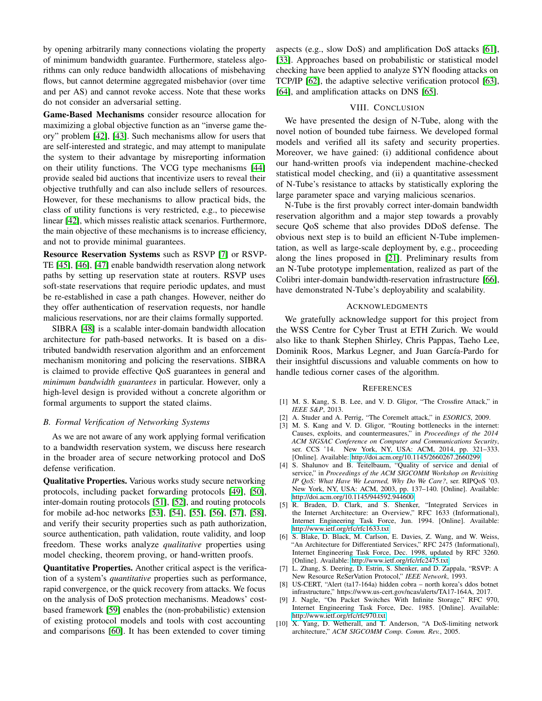by opening arbitrarily many connections violating the property of minimum bandwidth guarantee. Furthermore, stateless algorithms can only reduce bandwidth allocations of misbehaving flows, but cannot determine aggregated misbehavior (over time and per AS) and cannot revoke access. Note that these works do not consider an adversarial setting.

Game-Based Mechanisms consider resource allocation for maximizing a global objective function as an "inverse game theory" problem [\[42\]](#page-14-31), [\[43\]](#page-14-32). Such mechanisms allow for users that are self-interested and strategic, and may attempt to manipulate the system to their advantage by misreporting information on their utility functions. The VCG type mechanisms [\[44\]](#page-14-33) provide sealed bid auctions that incentivize users to reveal their objective truthfully and can also include sellers of resources. However, for these mechanisms to allow practical bids, the class of utility functions is very restricted, e.g., to piecewise linear [\[42\]](#page-14-31), which misses realistic attack scenarios. Furthermore, the main objective of these mechanisms is to increase efficiency, and not to provide minimal guarantees.

Resource Reservation Systems such as RSVP [\[7\]](#page-13-6) or RSVP-TE [\[45\]](#page-14-34), [\[46\]](#page-14-35), [\[47\]](#page-14-36) enable bandwidth reservation along network paths by setting up reservation state at routers. RSVP uses soft-state reservations that require periodic updates, and must be re-established in case a path changes. However, neither do they offer authentication of reservation requests, nor handle malicious reservations, nor are their claims formally supported.

SIBRA [\[48\]](#page-14-37) is a scalable inter-domain bandwidth allocation architecture for path-based networks. It is based on a distributed bandwidth reservation algorithm and an enforcement mechanism monitoring and policing the reservations. SIBRA is claimed to provide effective QoS guarantees in general and *minimum bandwidth guarantees* in particular. However, only a high-level design is provided without a concrete algorithm or formal arguments to support the stated claims.

## *B. Formal Verification of Networking Systems*

As we are not aware of any work applying formal verification to a bandwidth reservation system, we discuss here research in the broader area of secure networking protocol and DoS defense verification.

Qualitative Properties. Various works study secure networking protocols, including packet forwarding protocols [\[49\]](#page-14-38), [\[50\]](#page-14-39), inter-domain routing protocols [\[51\]](#page-15-2), [\[52\]](#page-15-3), and routing protocols for mobile ad-hoc networks [\[53\]](#page-15-4), [\[54\]](#page-15-5), [\[55\]](#page-15-6), [\[56\]](#page-15-7), [\[57\]](#page-15-8), [\[58\]](#page-15-9), and verify their security properties such as path authorization, source authentication, path validation, route validity, and loop freedom. These works analyze *qualitative* properties using model checking, theorem proving, or hand-written proofs.

Quantitative Properties. Another critical aspect is the verification of a system's *quantitative* properties such as performance, rapid convergence, or the quick recovery from attacks. We focus on the analysis of DoS protection mechanisms. Meadows' costbased framework [\[59\]](#page-15-10) enables the (non-probabilistic) extension of existing protocol models and tools with cost accounting and comparisons [\[60\]](#page-15-11). It has been extended to cover timing

aspects (e.g., slow DoS) and amplification DoS attacks [\[61\]](#page-15-12), [\[33\]](#page-14-22). Approaches based on probabilistic or statistical model checking have been applied to analyze SYN flooding attacks on TCP/IP [\[62\]](#page-15-13), the adaptive selective verification protocol [\[63\]](#page-15-14), [\[64\]](#page-15-15), and amplification attacks on DNS [\[65\]](#page-15-16).

## VIII. CONCLUSION

We have presented the design of N-Tube, along with the novel notion of bounded tube fairness. We developed formal models and verified all its safety and security properties. Moreover, we have gained: (i) additional confidence about our hand-written proofs via independent machine-checked statistical model checking, and (ii) a quantitative assessment of N-Tube's resistance to attacks by statistically exploring the large parameter space and varying malicious scenarios.

N-Tube is the first provably correct inter-domain bandwidth reservation algorithm and a major step towards a provably secure QoS scheme that also provides DDoS defense. The obvious next step is to build an efficient N-Tube implementation, as well as large-scale deployment by, e.g., proceeding along the lines proposed in [\[21\]](#page-14-10). Preliminary results from an N-Tube prototype implementation, realized as part of the Colibri inter-domain bandwidth-reservation infrastructure [\[66\]](#page-15-17), have demonstrated N-Tube's deployability and scalability.

## ACKNOWLEDGMENTS

We gratefully acknowledge support for this project from the WSS Centre for Cyber Trust at ETH Zurich. We would also like to thank Stephen Shirley, Chris Pappas, Taeho Lee, Dominik Roos, Markus Legner, and Juan García-Pardo for their insightful discussions and valuable comments on how to handle tedious corner cases of the algorithm.

#### **REFERENCES**

- <span id="page-13-0"></span>[1] M. S. Kang, S. B. Lee, and V. D. Gligor, "The Crossfire Attack," in *IEEE S&P*, 2013.
- <span id="page-13-1"></span>[2] A. Studer and A. Perrig, "The Coremelt attack," in *ESORICS*, 2009.
- <span id="page-13-2"></span>[3] M. S. Kang and V. D. Gligor, "Routing bottlenecks in the internet: Causes, exploits, and countermeasures," in *Proceedings of the 2014 ACM SIGSAC Conference on Computer and Communications Security*, ser. CCS '14. New York, NY, USA: ACM, 2014, pp. 321-333. [Online]. Available:<http://doi.acm.org/10.1145/2660267.2660299>
- <span id="page-13-3"></span>[4] S. Shalunov and B. Teitelbaum, "Quality of service and denial of service," in *Proceedings of the ACM SIGCOMM Workshop on Revisiting IP QoS: What Have We Learned, Why Do We Care?*, ser. RIPQoS '03. New York, NY, USA: ACM, 2003, pp. 137–140. [Online]. Available: <http://doi.acm.org/10.1145/944592.944600>
- <span id="page-13-4"></span>[5] R. Braden, D. Clark, and S. Shenker, "Integrated Services in the Internet Architecture: an Overview," RFC 1633 (Informational), Internet Engineering Task Force, Jun. 1994. [Online]. Available: <http://www.ietf.org/rfc/rfc1633.txt>
- <span id="page-13-5"></span>[6] S. Blake, D. Black, M. Carlson, E. Davies, Z. Wang, and W. Weiss, "An Architecture for Differentiated Services," RFC 2475 (Informational), Internet Engineering Task Force, Dec. 1998, updated by RFC 3260. [Online]. Available:<http://www.ietf.org/rfc/rfc2475.txt>
- <span id="page-13-6"></span>[7] L. Zhang, S. Deering, D. Estrin, S. Shenker, and D. Zappala, "RSVP: A New Resource ReSerVation Protocol," *IEEE Network*, 1993.
- <span id="page-13-7"></span>[8] US-CERT, "Alert (ta17-164a) hidden cobra – north korea's ddos botnet infrastructure," https://www.us-cert.gov/ncas/alerts/TA17-164A, 2017.
- <span id="page-13-8"></span>[9] J. Nagle, "On Packet Switches With Infinite Storage," RFC 970, Internet Engineering Task Force, Dec. 1985. [Online]. Available: <http://www.ietf.org/rfc/rfc970.txt>
- <span id="page-13-9"></span>[10] X. Yang, D. Wetherall, and T. Anderson, "A DoS-limiting network architecture," *ACM SIGCOMM Comp. Comm. Rev.*, 2005.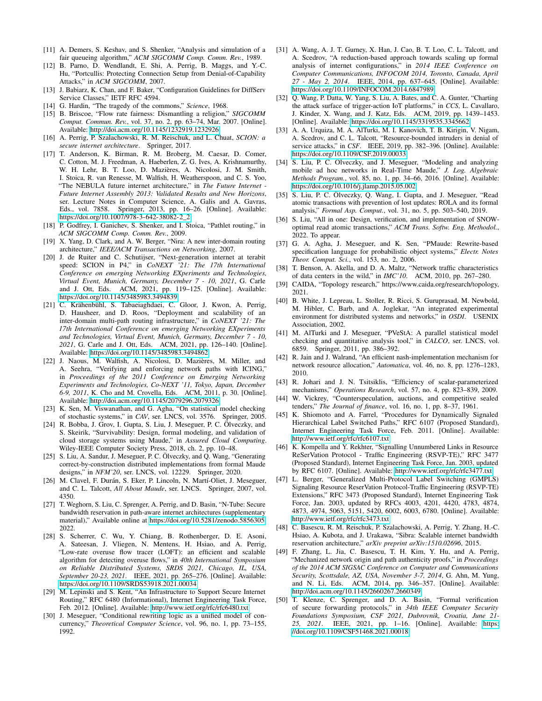- <span id="page-14-0"></span>[11] A. Demers, S. Keshav, and S. Shenker, "Analysis and simulation of a fair queueing algorithm," *ACM SIGCOMM Comp. Comm. Rev.*, 1989.
- <span id="page-14-1"></span>[12] B. Parno, D. Wendlandt, E. Shi, A. Perrig, B. Maggs, and Y.-C. Hu, "Portcullis: Protecting Connection Setup from Denial-of-Capability Attacks," in *ACM SIGCOMM*, 2007.
- <span id="page-14-2"></span>[13] J. Babiarz, K. Chan, and F. Baker, "Configuration Guidelines for DiffServ Service Classes," IETF RFC 4594.
- <span id="page-14-3"></span>[14] G. Hardin, "The tragedy of the commons," *Science*, 1968.
- <span id="page-14-4"></span>[15] B. Briscoe, "Flow rate fairness: Dismantling a religion," *SIGCOMM Comput. Commun. Rev.*, vol. 37, no. 2, pp. 63–74, Mar. 2007. [Online]. Available:<http://doi.acm.org/10.1145/1232919.1232926>
- <span id="page-14-5"></span>[16] A. Perrig, P. Szalachowski, R. M. Reischuk, and L. Chuat, *SCION: a secure internet architecture*. Springer, 2017.
- <span id="page-14-6"></span>[17] T. Anderson, K. Birman, R. M. Broberg, M. Caesar, D. Comer, C. Cotton, M. J. Freedman, A. Haeberlen, Z. G. Ives, A. Krishnamurthy, W. H. Lehr, B. T. Loo, D. Mazières, A. Nicolosi, J. M. Smith, I. Stoica, R. van Renesse, M. Walfish, H. Weatherspoon, and C. S. Yoo, "The NEBULA future internet architecture," in *The Future Internet - Future Internet Assembly 2013: Validated Results and New Horizons*, ser. Lecture Notes in Computer Science, A. Galis and A. Gavras, Eds., vol. 7858. Springer, 2013, pp. 16–26. [Online]. Available: [https://doi.org/10.1007/978-3-642-38082-2\\_2](https://doi.org/10.1007/978-3-642-38082-2_2)
- <span id="page-14-7"></span>[18] P. Godfrey, I. Ganichev, S. Shenker, and I. Stoica, "Pathlet routing," in *ACM SIGCOMM Comp. Comm. Rev.*, 2009.
- <span id="page-14-8"></span>[19] X. Yang, D. Clark, and A. W. Berger, "Nira: A new inter-domain routing architecture," *IEEE/ACM Transactions on Networking*, 2007.
- <span id="page-14-9"></span>[20] J. de Ruiter and C. Schutijser, "Next-generation internet at terabit speed: SCION in P4," in *CoNEXT '21: The 17th International Conference on emerging Networking EXperiments and Technologies, Virtual Event, Munich, Germany, December 7 - 10, 2021*, G. Carle and J. Ott, Eds. ACM, 2021, pp. 119–125. [Online]. Available: <https://doi.org/10.1145/3485983.3494839>
- <span id="page-14-10"></span>[21] C. Krähenbühl, S. Tabaeiaghdaei, C. Gloor, J. Kwon, A. Perrig, D. Hausheer, and D. Roos, "Deployment and scalability of an inter-domain multi-path routing infrastructure," in *CoNEXT '21: The 17th International Conference on emerging Networking EXperiments and Technologies, Virtual Event, Munich, Germany, December 7 - 10, 2021*, G. Carle and J. Ott, Eds. ACM, 2021, pp. 126–140. [Online]. Available:<https://doi.org/10.1145/3485983.3494862>
- <span id="page-14-11"></span>[22] J. Naous, M. Walfish, A. Nicolosi, D. Mazières, M. Miller, and A. Seehra, "Verifying and enforcing network paths with ICING," in *Proceedings of the 2011 Conference on Emerging Networking Experiments and Technologies, Co-NEXT '11, Tokyo, Japan, December 6-9, 2011*, K. Cho and M. Crovella, Eds. ACM, 2011, p. 30. [Online]. Available:<http://doi.acm.org/10.1145/2079296.2079326>
- <span id="page-14-12"></span>[23] K. Sen, M. Viswanathan, and G. Agha, "On statistical model checking of stochastic systems," in *CAV*, ser. LNCS, vol. 3576. Springer, 2005.
- <span id="page-14-13"></span>[24] R. Bobba, J. Grov, I. Gupta, S. Liu, J. Meseguer, P. C. Ölveczky, and S. Skeirik, "Survivability: Design, formal modeling, and validation of cloud storage systems using Maude," in *Assured Cloud Computing*. Wiley-IEEE Computer Society Press, 2018, ch. 2, pp. 10–48.
- <span id="page-14-14"></span>[25] S. Liu, A. Sandur, J. Meseguer, P. C. Ölveczky, and Q. Wang, "Generating correct-by-construction distributed implementations from formal Maude designs," in *NFM'20*, ser. LNCS, vol. 12229. Springer, 2020.
- <span id="page-14-15"></span>[26] M. Clavel, F. Durán, S. Eker, P. Lincoln, N. Martí-Oliet, J. Meseguer, and C. L. Talcott, *All About Maude*, ser. LNCS. Springer, 2007, vol. 4350.
- <span id="page-14-16"></span>[27] T. Weghorn, S. Liu, C. Sprenger, A. Perrig, and D. Basin, "N-Tube: Secure bandwidth reservation in path-aware internet architectures (supplementary material)," Available online at [https://doi.org/10.5281/zenodo.5856305,](https://doi.org/10.5281/zenodo.5856305) 2022.
- <span id="page-14-17"></span>[28] S. Scherrer, C. Wu, Y. Chiang, B. Rothenberger, D. E. Asoni, A. Sateesan, J. Vliegen, N. Mentens, H. Hsiao, and A. Perrig, "Low-rate overuse flow tracer (LOFT): an efficient and scalable algorithm for detecting overuse flows," in *40th International Symposium on Reliable Distributed Systems, SRDS 2021, Chicago, IL, USA, September 20-23, 2021*. IEEE, 2021, pp. 265–276. [Online]. Available: <https://doi.org/10.1109/SRDS53918.2021.00034>
- <span id="page-14-18"></span>[29] M. Lepinski and S. Kent, "An Infrastructure to Support Secure Internet Routing," RFC 6480 (Informational), Internet Engineering Task Force, Feb. 2012. [Online]. Available:<http://www.ietf.org/rfc/rfc6480.txt>
- <span id="page-14-19"></span>[30] J. Meseguer, "Conditional rewriting logic as a unified model of concurrency," *Theoretical Computer Science*, vol. 96, no. 1, pp. 73–155, 1992.
- <span id="page-14-20"></span>[31] A. Wang, A. J. T. Gurney, X. Han, J. Cao, B. T. Loo, C. L. Talcott, and A. Scedrov, "A reduction-based approach towards scaling up formal analysis of internet configurations," in *2014 IEEE Conference on Computer Communications, INFOCOM 2014, Toronto, Canada, April 27 - May 2, 2014*. IEEE, 2014, pp. 637–645. [Online]. Available: <https://doi.org/10.1109/INFOCOM.2014.6847989>
- <span id="page-14-21"></span>[32] Q. Wang, P. Datta, W. Yang, S. Liu, A. Bates, and C. A. Gunter, "Charting the attack surface of trigger-action IoT platforms," in *CCS*, L. Cavallaro, J. Kinder, X. Wang, and J. Katz, Eds. ACM, 2019, pp. 1439–1453. [Online]. Available:<https://doi.org/10.1145/3319535.3345662>
- <span id="page-14-22"></span>[33] A. A. Urquiza, M. A. AlTurki, M. I. Kanovich, T. B. Kirigin, V. Nigam, A. Scedrov, and C. L. Talcott, "Resource-bounded intruders in denial of service attacks," in *CSF*. IEEE, 2019, pp. 382–396. [Online]. Available: <https://doi.org/10.1109/CSF.2019.00033>
- <span id="page-14-23"></span>[34] S. Liu, P. C. Ölveczky, and J. Meseguer, "Modeling and analyzing mobile ad hoc networks in Real-Time Maude," *J. Log. Algebraic Methods Program.*, vol. 85, no. 1, pp. 34–66, 2016. [Online]. Available: <https://doi.org/10.1016/j.jlamp.2015.05.002>
- <span id="page-14-24"></span>[35] S. Liu, P. C. Ölveczky, Q. Wang, I. Gupta, and J. Meseguer, "Read atomic transactions with prevention of lost updates: ROLA and its formal analysis," *Formal Asp. Comput.*, vol. 31, no. 5, pp. 503–540, 2019.
- <span id="page-14-25"></span>[36] S. Liu, "All in one: Design, verification, and implementation of SNOWoptimal read atomic transactions," *ACM Trans. Softw. Eng. Methodol.*, 2022. To appear.
- <span id="page-14-26"></span>[37] G. A. Agha, J. Meseguer, and K. Sen, "PMaude: Rewrite-based specification language for probabilistic object systems," *Electr. Notes Theor. Comput. Sci.*, vol. 153, no. 2, 2006.
- <span id="page-14-27"></span>[38] T. Benson, A. Akella, and D. A. Maltz, "Network traffic characteristics of data centers in the wild," in *IMC'10*. ACM, 2010, pp. 267–280.
- <span id="page-14-28"></span>[39] CAIDA, "Topology research," https://www.caida.org/research/topology, 2021.
- <span id="page-14-29"></span>[40] B. White, J. Lepreau, L. Stoller, R. Ricci, S. Guruprasad, M. Newbold, M. Hibler, C. Barb, and A. Joglekar, "An integrated experimental environment for distributed systems and networks," in *OSDI*. USENIX Association, 2002.
- <span id="page-14-30"></span>[41] M. AlTurki and J. Meseguer, "PVeStA: A parallel statistical model checking and quantitative analysis tool," in *CALCO*, ser. LNCS, vol. 6859. Springer, 2011, pp. 386–392.
- <span id="page-14-31"></span>[42] R. Jain and J. Walrand, "An efficient nash-implementation mechanism for network resource allocation," *Automatica*, vol. 46, no. 8, pp. 1276–1283, 2010.
- <span id="page-14-32"></span>[43] R. Johari and J. N. Tsitsiklis, "Efficiency of scalar-parameterized mechanisms," *Operations Research*, vol. 57, no. 4, pp. 823–839, 2009.
- <span id="page-14-33"></span>W. Vickrey, "Counterspeculation, auctions, and competitive sealed tenders," *The Journal of finance*, vol. 16, no. 1, pp. 8–37, 1961.
- <span id="page-14-34"></span>[45] K. Shiomoto and A. Farrel, "Procedures for Dynamically Signaled Hierarchical Label Switched Paths," RFC 6107 (Proposed Standard), Internet Engineering Task Force, Feb. 2011. [Online]. Available: <http://www.ietf.org/rfc/rfc6107.txt>
- <span id="page-14-35"></span>[46] K. Kompella and Y. Rekhter, "Signalling Unnumbered Links in Resource ReSerVation Protocol - Traffic Engineering (RSVP-TE)," RFC 3477 (Proposed Standard), Internet Engineering Task Force, Jan. 2003, updated by RFC 6107. [Online]. Available:<http://www.ietf.org/rfc/rfc3477.txt>
- <span id="page-14-36"></span>[47] L. Berger, "Generalized Multi-Protocol Label Switching (GMPLS) Signaling Resource ReserVation Protocol-Traffic Engineering (RSVP-TE) Extensions," RFC 3473 (Proposed Standard), Internet Engineering Task Force, Jan. 2003, updated by RFCs 4003, 4201, 4420, 4783, 4874, 4873, 4974, 5063, 5151, 5420, 6002, 6003, 6780. [Online]. Available: <http://www.ietf.org/rfc/rfc3473.txt>
- <span id="page-14-37"></span>[48] C. Basescu, R. M. Reischuk, P. Szalachowski, A. Perrig, Y. Zhang, H.-C. Hsiao, A. Kubota, and J. Urakawa, "Sibra: Scalable internet bandwidth reservation architecture," *arXiv preprint arXiv:1510.02696*, 2015.
- <span id="page-14-38"></span>[49] F. Zhang, L. Jia, C. Basescu, T. H. Kim, Y. Hu, and A. Perrig, "Mechanized network origin and path authenticity proofs," in *Proceedings of the 2014 ACM SIGSAC Conference on Computer and Communications Security, Scottsdale, AZ, USA, November 3-7, 2014*, G. Ahn, M. Yung, and N. Li, Eds. ACM, 2014, pp. 346–357. [Online]. Available: <http://doi.acm.org/10.1145/2660267.2660349>
- <span id="page-14-39"></span>[50] T. Klenze, C. Sprenger, and D. A. Basin, "Formal verification of secure forwarding protocols," in *34th IEEE Computer Security Foundations Symposium, CSF 2021, Dubrovnik, Croatia, June 21- 25, 2021*. IEEE, 2021, pp. 1–16. [Online]. Available: [https:](https://doi.org/10.1109/CSF51468.2021.00018) [//doi.org/10.1109/CSF51468.2021.00018](https://doi.org/10.1109/CSF51468.2021.00018)